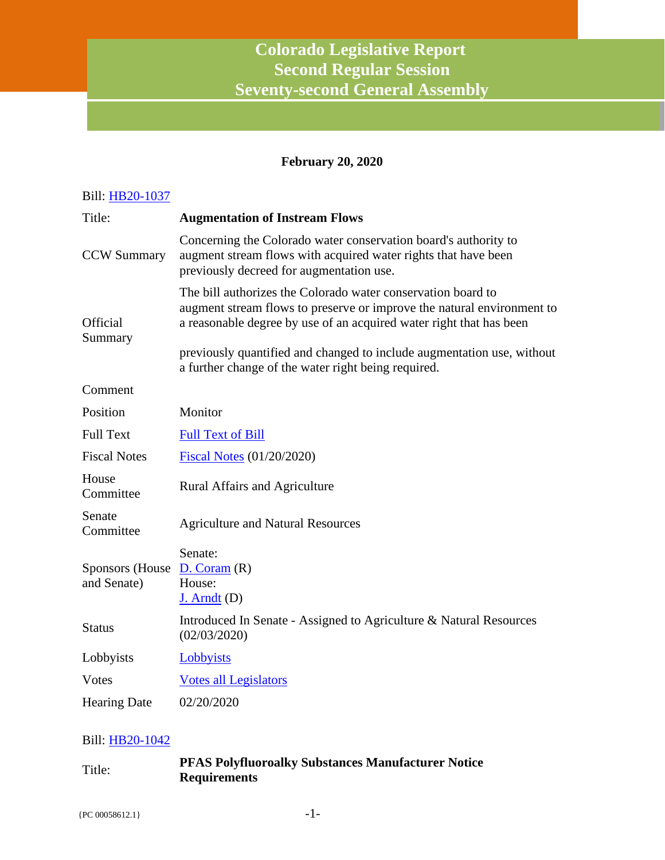# **Colorado Legislative Report Second Regular Session Seventy-second General Assembly**

### **February 20, 2020**

| Bill: HB20-1037                 |                                                                                                                                                                                                                                                                                                                                                |
|---------------------------------|------------------------------------------------------------------------------------------------------------------------------------------------------------------------------------------------------------------------------------------------------------------------------------------------------------------------------------------------|
| Title:                          | <b>Augmentation of Instream Flows</b>                                                                                                                                                                                                                                                                                                          |
| <b>CCW Summary</b>              | Concerning the Colorado water conservation board's authority to<br>augment stream flows with acquired water rights that have been<br>previously decreed for augmentation use.                                                                                                                                                                  |
| Official<br>Summary             | The bill authorizes the Colorado water conservation board to<br>augment stream flows to preserve or improve the natural environment to<br>a reasonable degree by use of an acquired water right that has been<br>previously quantified and changed to include augmentation use, without<br>a further change of the water right being required. |
| Comment                         |                                                                                                                                                                                                                                                                                                                                                |
| Position                        | Monitor                                                                                                                                                                                                                                                                                                                                        |
| <b>Full Text</b>                | <b>Full Text of Bill</b>                                                                                                                                                                                                                                                                                                                       |
| <b>Fiscal Notes</b>             | <b>Fiscal Notes</b> (01/20/2020)                                                                                                                                                                                                                                                                                                               |
| House<br>Committee              | Rural Affairs and Agriculture                                                                                                                                                                                                                                                                                                                  |
| Senate<br>Committee             | <b>Agriculture and Natural Resources</b>                                                                                                                                                                                                                                                                                                       |
| Sponsors (House)<br>and Senate) | Senate:<br>D. Coram(R)<br>House:<br>$J.$ Arndt $(D)$                                                                                                                                                                                                                                                                                           |
| <b>Status</b>                   | Introduced In Senate - Assigned to Agriculture & Natural Resources<br>(02/03/2020)                                                                                                                                                                                                                                                             |
| Lobbyists                       | Lobbyists                                                                                                                                                                                                                                                                                                                                      |
| <b>Votes</b>                    | <b>Votes all Legislators</b>                                                                                                                                                                                                                                                                                                                   |
| <b>Hearing Date</b>             | 02/20/2020                                                                                                                                                                                                                                                                                                                                     |

| Title: | <b>PFAS Polyfluoroalky Substances Manufacturer Notice</b> |
|--------|-----------------------------------------------------------|
|        | <b>Requirements</b>                                       |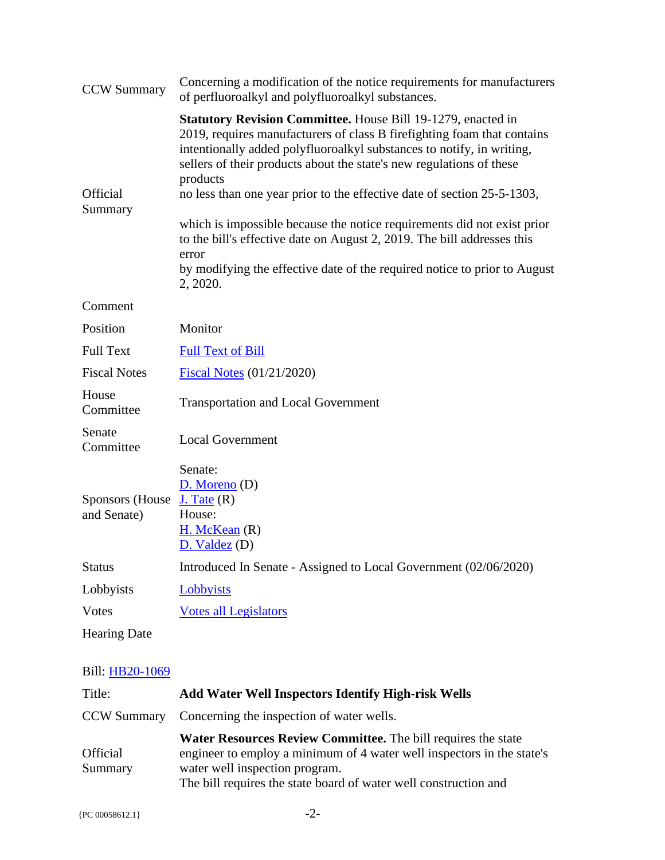| <b>CCW Summary</b>             | Concerning a modification of the notice requirements for manufacturers<br>of perfluoroalkyl and polyfluoroalkyl substances.                                                                                                                                                                                                                                                                                                                                                                                                                                                                                                             |
|--------------------------------|-----------------------------------------------------------------------------------------------------------------------------------------------------------------------------------------------------------------------------------------------------------------------------------------------------------------------------------------------------------------------------------------------------------------------------------------------------------------------------------------------------------------------------------------------------------------------------------------------------------------------------------------|
| Official<br>Summary            | Statutory Revision Committee. House Bill 19-1279, enacted in<br>2019, requires manufacturers of class B firefighting foam that contains<br>intentionally added polyfluoroalkyl substances to notify, in writing,<br>sellers of their products about the state's new regulations of these<br>products<br>no less than one year prior to the effective date of section 25-5-1303,<br>which is impossible because the notice requirements did not exist prior<br>to the bill's effective date on August 2, 2019. The bill addresses this<br>error<br>by modifying the effective date of the required notice to prior to August<br>2, 2020. |
| Comment                        |                                                                                                                                                                                                                                                                                                                                                                                                                                                                                                                                                                                                                                         |
| Position                       | Monitor                                                                                                                                                                                                                                                                                                                                                                                                                                                                                                                                                                                                                                 |
| <b>Full Text</b>               | <b>Full Text of Bill</b>                                                                                                                                                                                                                                                                                                                                                                                                                                                                                                                                                                                                                |
| <b>Fiscal Notes</b>            | Fiscal Notes (01/21/2020)                                                                                                                                                                                                                                                                                                                                                                                                                                                                                                                                                                                                               |
| House<br>Committee             | <b>Transportation and Local Government</b>                                                                                                                                                                                                                                                                                                                                                                                                                                                                                                                                                                                              |
| Senate<br>Committee            | <b>Local Government</b>                                                                                                                                                                                                                                                                                                                                                                                                                                                                                                                                                                                                                 |
| Sponsors (House<br>and Senate) | Senate:<br>$D.$ Moreno $(D)$<br>$J.$ Tate $(R)$<br>House:<br>$H.$ McKean $(R)$<br>D. Valdez (D)                                                                                                                                                                                                                                                                                                                                                                                                                                                                                                                                         |
| <b>Status</b>                  | Introduced In Senate - Assigned to Local Government (02/06/2020)                                                                                                                                                                                                                                                                                                                                                                                                                                                                                                                                                                        |
| Lobbyists                      | Lobbyists                                                                                                                                                                                                                                                                                                                                                                                                                                                                                                                                                                                                                               |
| <b>Votes</b>                   | <b>Votes all Legislators</b>                                                                                                                                                                                                                                                                                                                                                                                                                                                                                                                                                                                                            |
| <b>Hearing Date</b>            |                                                                                                                                                                                                                                                                                                                                                                                                                                                                                                                                                                                                                                         |

| Title:                     | <b>Add Water Well Inspectors Identify High-risk Wells</b>                                                                                                                                                                                            |
|----------------------------|------------------------------------------------------------------------------------------------------------------------------------------------------------------------------------------------------------------------------------------------------|
| <b>CCW Summary</b>         | Concerning the inspection of water wells.                                                                                                                                                                                                            |
| <b>Official</b><br>Summary | <b>Water Resources Review Committee.</b> The bill requires the state<br>engineer to employ a minimum of 4 water well inspectors in the state's<br>water well inspection program.<br>The bill requires the state board of water well construction and |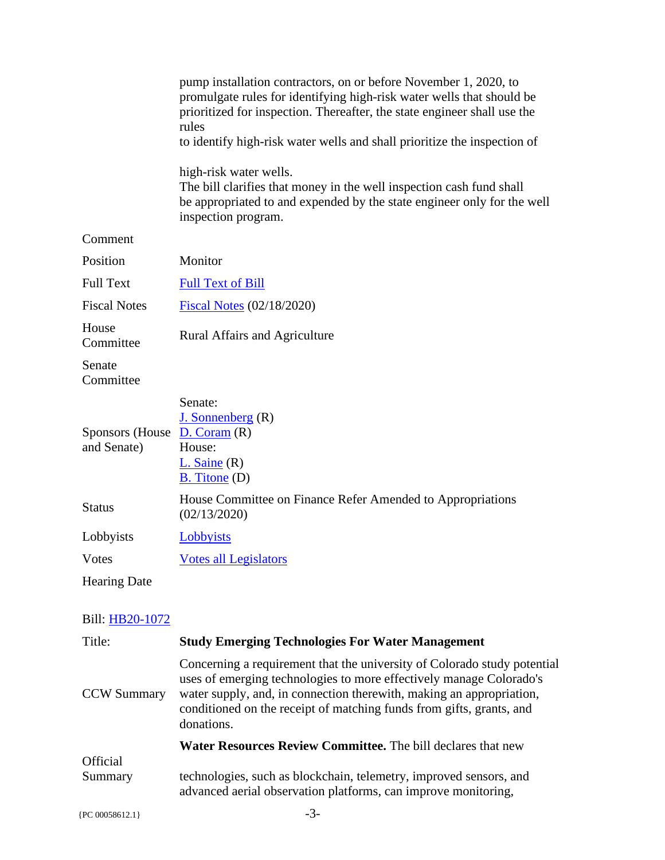|                                              | pump installation contractors, on or before November 1, 2020, to                                                                                                                                                                                                                                |
|----------------------------------------------|-------------------------------------------------------------------------------------------------------------------------------------------------------------------------------------------------------------------------------------------------------------------------------------------------|
|                                              | promulgate rules for identifying high-risk water wells that should be<br>prioritized for inspection. Thereafter, the state engineer shall use the<br>rules                                                                                                                                      |
|                                              | to identify high-risk water wells and shall prioritize the inspection of                                                                                                                                                                                                                        |
|                                              | high-risk water wells.<br>The bill clarifies that money in the well inspection cash fund shall<br>be appropriated to and expended by the state engineer only for the well<br>inspection program.                                                                                                |
| Comment                                      |                                                                                                                                                                                                                                                                                                 |
| Position                                     | Monitor                                                                                                                                                                                                                                                                                         |
| <b>Full Text</b>                             | <b>Full Text of Bill</b>                                                                                                                                                                                                                                                                        |
| <b>Fiscal Notes</b>                          | Fiscal Notes (02/18/2020)                                                                                                                                                                                                                                                                       |
| House<br>Committee                           | <b>Rural Affairs and Agriculture</b>                                                                                                                                                                                                                                                            |
| Senate<br>Committee                          |                                                                                                                                                                                                                                                                                                 |
| Sponsors (House $D. Coram(R)$<br>and Senate) | Senate:<br>$J.$ Sonnenberg $(R)$<br>House:<br>$L.$ Saine $(R)$<br>$B.$ Titone (D)                                                                                                                                                                                                               |
| <b>Status</b>                                | House Committee on Finance Refer Amended to Appropriations<br>(02/13/2020)                                                                                                                                                                                                                      |
| Lobbyists                                    | <b>Lobbyists</b>                                                                                                                                                                                                                                                                                |
| Votes                                        | <b>Votes all Legislators</b>                                                                                                                                                                                                                                                                    |
| <b>Hearing Date</b>                          |                                                                                                                                                                                                                                                                                                 |
| Bill: HB20-1072                              |                                                                                                                                                                                                                                                                                                 |
| Title:                                       | <b>Study Emerging Technologies For Water Management</b>                                                                                                                                                                                                                                         |
| <b>CCW Summary</b>                           | Concerning a requirement that the university of Colorado study potential<br>uses of emerging technologies to more effectively manage Colorado's<br>water supply, and, in connection therewith, making an appropriation,<br>conditioned on the receipt of matching funds from gifts, grants, and |

**Water Resources Review Committee.** The bill declares that new

**Official** Summary technologies, such as blockchain, telemetry, improved sensors, and advanced aerial observation platforms, can improve monitoring,

donations.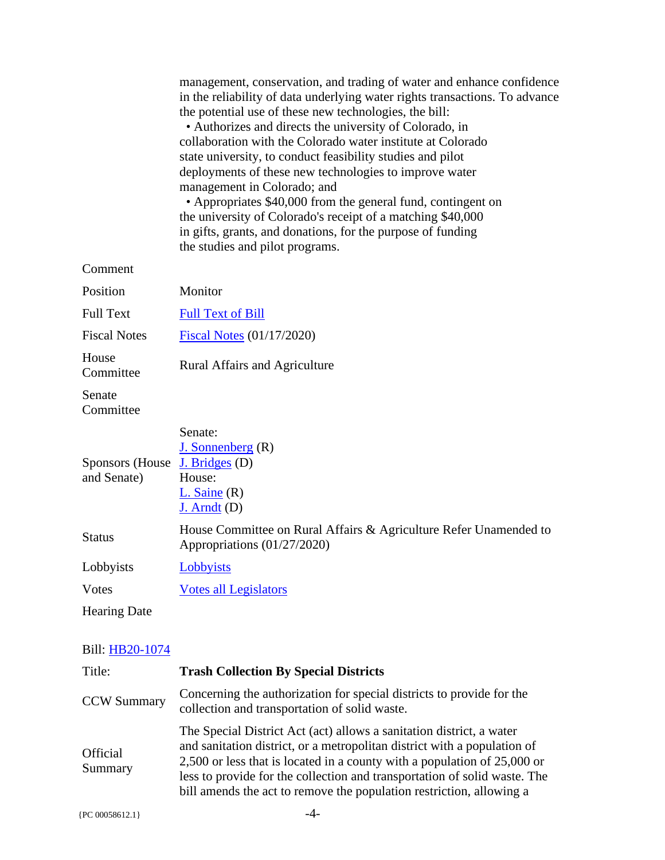|                                               | management, conservation, and trading of water and enhance confidence<br>in the reliability of data underlying water rights transactions. To advance<br>the potential use of these new technologies, the bill:<br>• Authorizes and directs the university of Colorado, in<br>collaboration with the Colorado water institute at Colorado<br>state university, to conduct feasibility studies and pilot<br>deployments of these new technologies to improve water<br>management in Colorado; and<br>• Appropriates \$40,000 from the general fund, contingent on<br>the university of Colorado's receipt of a matching \$40,000<br>in gifts, grants, and donations, for the purpose of funding<br>the studies and pilot programs. |
|-----------------------------------------------|----------------------------------------------------------------------------------------------------------------------------------------------------------------------------------------------------------------------------------------------------------------------------------------------------------------------------------------------------------------------------------------------------------------------------------------------------------------------------------------------------------------------------------------------------------------------------------------------------------------------------------------------------------------------------------------------------------------------------------|
| Comment                                       |                                                                                                                                                                                                                                                                                                                                                                                                                                                                                                                                                                                                                                                                                                                                  |
| Position                                      | Monitor                                                                                                                                                                                                                                                                                                                                                                                                                                                                                                                                                                                                                                                                                                                          |
| <b>Full Text</b>                              | <b>Full Text of Bill</b>                                                                                                                                                                                                                                                                                                                                                                                                                                                                                                                                                                                                                                                                                                         |
| <b>Fiscal Notes</b>                           | <b>Fiscal Notes (01/17/2020)</b>                                                                                                                                                                                                                                                                                                                                                                                                                                                                                                                                                                                                                                                                                                 |
| House<br>Committee                            | <b>Rural Affairs and Agriculture</b>                                                                                                                                                                                                                                                                                                                                                                                                                                                                                                                                                                                                                                                                                             |
| Senate<br>Committee                           |                                                                                                                                                                                                                                                                                                                                                                                                                                                                                                                                                                                                                                                                                                                                  |
| Sponsors (House J. Bridges (D)<br>and Senate) | Senate:<br>J. Sonnenberg $(R)$<br>House:<br>$L.$ Saine $(R)$<br>$J.$ Arndt $(D)$                                                                                                                                                                                                                                                                                                                                                                                                                                                                                                                                                                                                                                                 |
| <b>Status</b>                                 | House Committee on Rural Affairs & Agriculture Refer Unamended to<br>Appropriations (01/27/2020)                                                                                                                                                                                                                                                                                                                                                                                                                                                                                                                                                                                                                                 |
| Lobbyists                                     | Lobbyists                                                                                                                                                                                                                                                                                                                                                                                                                                                                                                                                                                                                                                                                                                                        |
| <b>Votes</b>                                  | <b>Votes all Legislators</b>                                                                                                                                                                                                                                                                                                                                                                                                                                                                                                                                                                                                                                                                                                     |
| <b>Hearing Date</b>                           |                                                                                                                                                                                                                                                                                                                                                                                                                                                                                                                                                                                                                                                                                                                                  |
| Bill: HB20-1074                               |                                                                                                                                                                                                                                                                                                                                                                                                                                                                                                                                                                                                                                                                                                                                  |
| Title:                                        | <b>Trash Collection By Special Districts</b>                                                                                                                                                                                                                                                                                                                                                                                                                                                                                                                                                                                                                                                                                     |
| <b>CCW Summary</b>                            | Concerning the authorization for special districts to provide for the<br>collection and transportation of solid waste.                                                                                                                                                                                                                                                                                                                                                                                                                                                                                                                                                                                                           |

**Official** Summary The Special District Act (act) allows a sanitation district, a water and sanitation district, or a metropolitan district with a population of 2,500 or less that is located in a county with a population of 25,000 or less to provide for the collection and transportation of solid waste. The bill amends the act to remove the population restriction, allowing a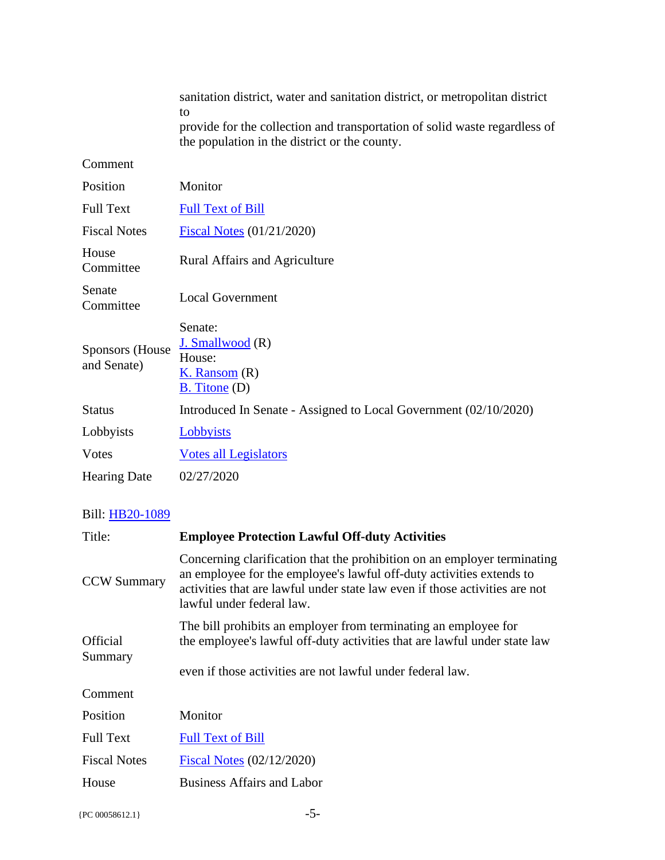|                                | sanitation district, water and sanitation district, or metropolitan district<br>to<br>provide for the collection and transportation of solid waste regardless of<br>the population in the district or the county. |
|--------------------------------|-------------------------------------------------------------------------------------------------------------------------------------------------------------------------------------------------------------------|
| Comment                        |                                                                                                                                                                                                                   |
| Position                       | Monitor                                                                                                                                                                                                           |
| <b>Full Text</b>               | <b>Full Text of Bill</b>                                                                                                                                                                                          |
| <b>Fiscal Notes</b>            | <b>Fiscal Notes (01/21/2020)</b>                                                                                                                                                                                  |
| House<br>Committee             | <b>Rural Affairs and Agriculture</b>                                                                                                                                                                              |
| Senate<br>Committee            | <b>Local Government</b>                                                                                                                                                                                           |
| Sponsors (House<br>and Senate) | Senate:<br>J. Smallwood (R)<br>House:<br>$K.$ Ransom $(R)$<br>$B.$ Titone (D)                                                                                                                                     |
| <b>Status</b>                  | Introduced In Senate - Assigned to Local Government (02/10/2020)                                                                                                                                                  |
| Lobbyists                      | Lobbyists                                                                                                                                                                                                         |
| Votes                          | <b>Votes all Legislators</b>                                                                                                                                                                                      |
| <b>Hearing Date</b>            | 02/27/2020                                                                                                                                                                                                        |

| Title:                     | <b>Employee Protection Lawful Off-duty Activities</b>                                                                                                                                                                                                        |
|----------------------------|--------------------------------------------------------------------------------------------------------------------------------------------------------------------------------------------------------------------------------------------------------------|
| <b>CCW Summary</b>         | Concerning clarification that the prohibition on an employer terminating<br>an employee for the employee's lawful off-duty activities extends to<br>activities that are lawful under state law even if those activities are not<br>lawful under federal law. |
| <b>Official</b><br>Summary | The bill prohibits an employer from terminating an employee for<br>the employee's lawful off-duty activities that are lawful under state law<br>even if those activities are not lawful under federal law.                                                   |
| Comment                    |                                                                                                                                                                                                                                                              |
| Position                   | Monitor                                                                                                                                                                                                                                                      |
| <b>Full Text</b>           | <b>Full Text of Bill</b>                                                                                                                                                                                                                                     |
| <b>Fiscal Notes</b>        | <b>Fiscal Notes (02/12/2020)</b>                                                                                                                                                                                                                             |
| House                      | <b>Business Affairs and Labor</b>                                                                                                                                                                                                                            |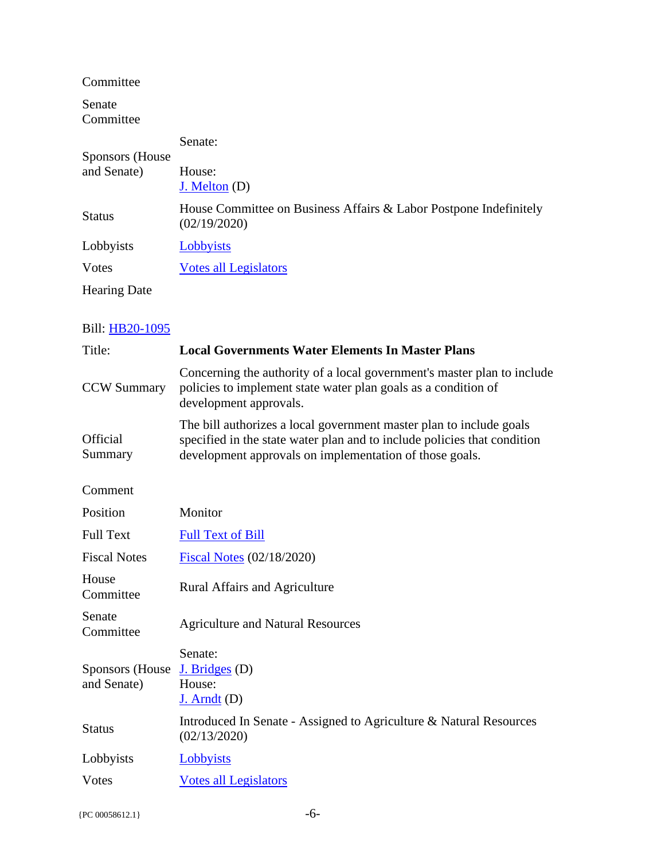Committee

Senate Committee

| Sponsors (House)<br>and Senate) | Senate:                                                                           |
|---------------------------------|-----------------------------------------------------------------------------------|
|                                 | House:<br>$J.$ Melton $(D)$                                                       |
| <b>Status</b>                   | House Committee on Business Affairs & Labor Postpone Indefinitely<br>(02/19/2020) |
| Lobbyists                       | Lobbyists                                                                         |
| Votes                           | Votes all Legislators                                                             |
| <b>Hearing Date</b>             |                                                                                   |

| Title:                         | <b>Local Governments Water Elements In Master Plans</b>                                                                                                                                                    |
|--------------------------------|------------------------------------------------------------------------------------------------------------------------------------------------------------------------------------------------------------|
| <b>CCW Summary</b>             | Concerning the authority of a local government's master plan to include<br>policies to implement state water plan goals as a condition of<br>development approvals.                                        |
| <b>Official</b><br>Summary     | The bill authorizes a local government master plan to include goals<br>specified in the state water plan and to include policies that condition<br>development approvals on implementation of those goals. |
| Comment                        |                                                                                                                                                                                                            |
| Position                       | Monitor                                                                                                                                                                                                    |
| <b>Full Text</b>               | <b>Full Text of Bill</b>                                                                                                                                                                                   |
| <b>Fiscal Notes</b>            | Fiscal Notes (02/18/2020)                                                                                                                                                                                  |
| House<br>Committee             | <b>Rural Affairs and Agriculture</b>                                                                                                                                                                       |
| Senate<br>Committee            | <b>Agriculture and Natural Resources</b>                                                                                                                                                                   |
| Sponsors (House<br>and Senate) | Senate:<br>$J.$ Bridges (D)<br>House:<br>$J.$ Arndt $(D)$                                                                                                                                                  |
| <b>Status</b>                  | Introduced In Senate - Assigned to Agriculture & Natural Resources<br>(02/13/2020)                                                                                                                         |
| Lobbyists                      | Lobbyists                                                                                                                                                                                                  |
| Votes                          | <b>Votes all Legislators</b>                                                                                                                                                                               |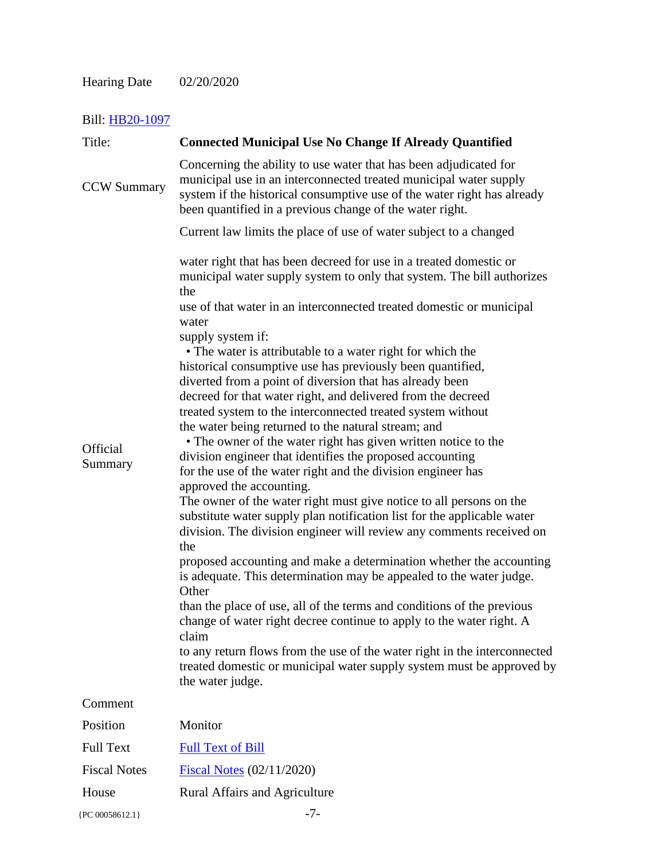| Title:              | <b>Connected Municipal Use No Change If Already Quantified</b>                                                                                                                                                                                                                                                                                                                                                                                                                                                                                                                                                                                                                                                                                                                                                                                                                                                                                                                                                                                                                                                                                                                                                                                                                                                                                                                                                                                                                                                                                                                                  |
|---------------------|-------------------------------------------------------------------------------------------------------------------------------------------------------------------------------------------------------------------------------------------------------------------------------------------------------------------------------------------------------------------------------------------------------------------------------------------------------------------------------------------------------------------------------------------------------------------------------------------------------------------------------------------------------------------------------------------------------------------------------------------------------------------------------------------------------------------------------------------------------------------------------------------------------------------------------------------------------------------------------------------------------------------------------------------------------------------------------------------------------------------------------------------------------------------------------------------------------------------------------------------------------------------------------------------------------------------------------------------------------------------------------------------------------------------------------------------------------------------------------------------------------------------------------------------------------------------------------------------------|
| <b>CCW Summary</b>  | Concerning the ability to use water that has been adjudicated for<br>municipal use in an interconnected treated municipal water supply<br>system if the historical consumptive use of the water right has already<br>been quantified in a previous change of the water right.                                                                                                                                                                                                                                                                                                                                                                                                                                                                                                                                                                                                                                                                                                                                                                                                                                                                                                                                                                                                                                                                                                                                                                                                                                                                                                                   |
|                     | Current law limits the place of use of water subject to a changed                                                                                                                                                                                                                                                                                                                                                                                                                                                                                                                                                                                                                                                                                                                                                                                                                                                                                                                                                                                                                                                                                                                                                                                                                                                                                                                                                                                                                                                                                                                               |
| Official<br>Summary | water right that has been decreed for use in a treated domestic or<br>municipal water supply system to only that system. The bill authorizes<br>the<br>use of that water in an interconnected treated domestic or municipal<br>water<br>supply system if:<br>• The water is attributable to a water right for which the<br>historical consumptive use has previously been quantified,<br>diverted from a point of diversion that has already been<br>decreed for that water right, and delivered from the decreed<br>treated system to the interconnected treated system without<br>the water being returned to the natural stream; and<br>• The owner of the water right has given written notice to the<br>division engineer that identifies the proposed accounting<br>for the use of the water right and the division engineer has<br>approved the accounting.<br>The owner of the water right must give notice to all persons on the<br>substitute water supply plan notification list for the applicable water<br>division. The division engineer will review any comments received on<br>the<br>proposed accounting and make a determination whether the accounting<br>is adequate. This determination may be appealed to the water judge.<br>Other<br>than the place of use, all of the terms and conditions of the previous<br>change of water right decree continue to apply to the water right. A<br>claim<br>to any return flows from the use of the water right in the interconnected<br>treated domestic or municipal water supply system must be approved by<br>the water judge. |
| Comment             |                                                                                                                                                                                                                                                                                                                                                                                                                                                                                                                                                                                                                                                                                                                                                                                                                                                                                                                                                                                                                                                                                                                                                                                                                                                                                                                                                                                                                                                                                                                                                                                                 |
| Position            | Monitor                                                                                                                                                                                                                                                                                                                                                                                                                                                                                                                                                                                                                                                                                                                                                                                                                                                                                                                                                                                                                                                                                                                                                                                                                                                                                                                                                                                                                                                                                                                                                                                         |
| <b>Full Text</b>    | <b>Full Text of Bill</b>                                                                                                                                                                                                                                                                                                                                                                                                                                                                                                                                                                                                                                                                                                                                                                                                                                                                                                                                                                                                                                                                                                                                                                                                                                                                                                                                                                                                                                                                                                                                                                        |
| <b>Fiscal Notes</b> | <b>Fiscal Notes (02/11/2020)</b>                                                                                                                                                                                                                                                                                                                                                                                                                                                                                                                                                                                                                                                                                                                                                                                                                                                                                                                                                                                                                                                                                                                                                                                                                                                                                                                                                                                                                                                                                                                                                                |
| House               | <b>Rural Affairs and Agriculture</b>                                                                                                                                                                                                                                                                                                                                                                                                                                                                                                                                                                                                                                                                                                                                                                                                                                                                                                                                                                                                                                                                                                                                                                                                                                                                                                                                                                                                                                                                                                                                                            |
| {PC 00058612.1}     | $-7-$                                                                                                                                                                                                                                                                                                                                                                                                                                                                                                                                                                                                                                                                                                                                                                                                                                                                                                                                                                                                                                                                                                                                                                                                                                                                                                                                                                                                                                                                                                                                                                                           |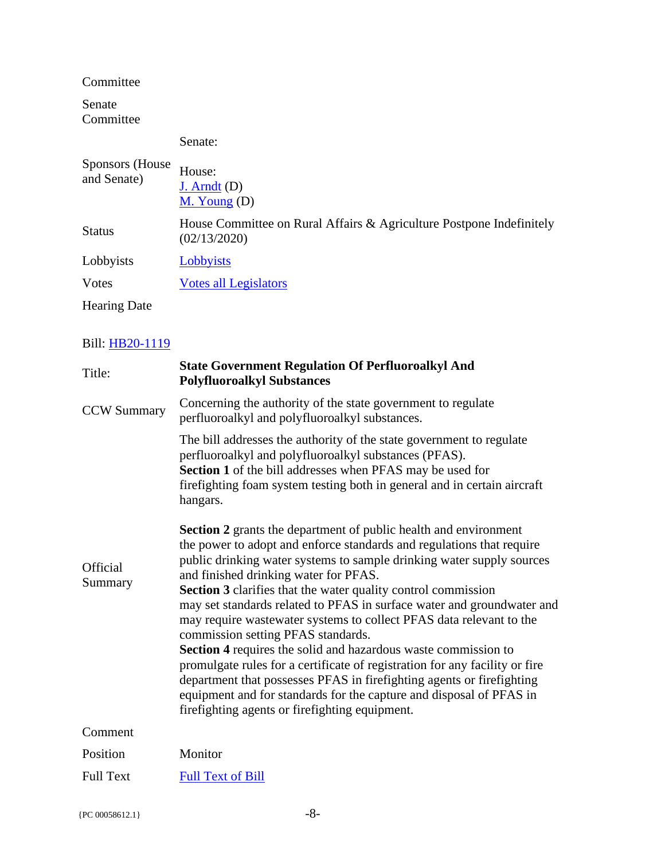Committee

Senate Committee

#### Senate:

| Sponsors (House)<br>and Senate) | House:<br>$J.$ Arndt $(D)$<br>$M.$ Young (D)                                         |
|---------------------------------|--------------------------------------------------------------------------------------|
| <b>Status</b>                   | House Committee on Rural Affairs & Agriculture Postpone Indefinitely<br>(02/13/2020) |
| Lobbyists                       | Lobbyists                                                                            |
| Votes                           | <b>Votes all Legislators</b>                                                         |
| <b>Hearing Date</b>             |                                                                                      |

| Title:              | <b>State Government Regulation Of Perfluoroalkyl And</b><br><b>Polyfluoroalkyl Substances</b>                                                                                                                                                                                                                                                                                                                                                                                                                                                                                                                                                                                                                                                                                                                                                                                        |
|---------------------|--------------------------------------------------------------------------------------------------------------------------------------------------------------------------------------------------------------------------------------------------------------------------------------------------------------------------------------------------------------------------------------------------------------------------------------------------------------------------------------------------------------------------------------------------------------------------------------------------------------------------------------------------------------------------------------------------------------------------------------------------------------------------------------------------------------------------------------------------------------------------------------|
| <b>CCW Summary</b>  | Concerning the authority of the state government to regulate<br>perfluoroalkyl and polyfluoroalkyl substances.                                                                                                                                                                                                                                                                                                                                                                                                                                                                                                                                                                                                                                                                                                                                                                       |
|                     | The bill addresses the authority of the state government to regulate<br>perfluoroalkyl and polyfluoroalkyl substances (PFAS).<br><b>Section 1</b> of the bill addresses when PFAS may be used for<br>firefighting foam system testing both in general and in certain aircraft<br>hangars.                                                                                                                                                                                                                                                                                                                                                                                                                                                                                                                                                                                            |
| Official<br>Summary | <b>Section 2</b> grants the department of public health and environment<br>the power to adopt and enforce standards and regulations that require<br>public drinking water systems to sample drinking water supply sources<br>and finished drinking water for PFAS.<br><b>Section 3</b> clarifies that the water quality control commission<br>may set standards related to PFAS in surface water and groundwater and<br>may require wastewater systems to collect PFAS data relevant to the<br>commission setting PFAS standards.<br>Section 4 requires the solid and hazardous waste commission to<br>promulgate rules for a certificate of registration for any facility or fire<br>department that possesses PFAS in firefighting agents or firefighting<br>equipment and for standards for the capture and disposal of PFAS in<br>firefighting agents or firefighting equipment. |
| Comment             |                                                                                                                                                                                                                                                                                                                                                                                                                                                                                                                                                                                                                                                                                                                                                                                                                                                                                      |
| Position            | Monitor                                                                                                                                                                                                                                                                                                                                                                                                                                                                                                                                                                                                                                                                                                                                                                                                                                                                              |
| <b>Full Text</b>    | <b>Full Text of Bill</b>                                                                                                                                                                                                                                                                                                                                                                                                                                                                                                                                                                                                                                                                                                                                                                                                                                                             |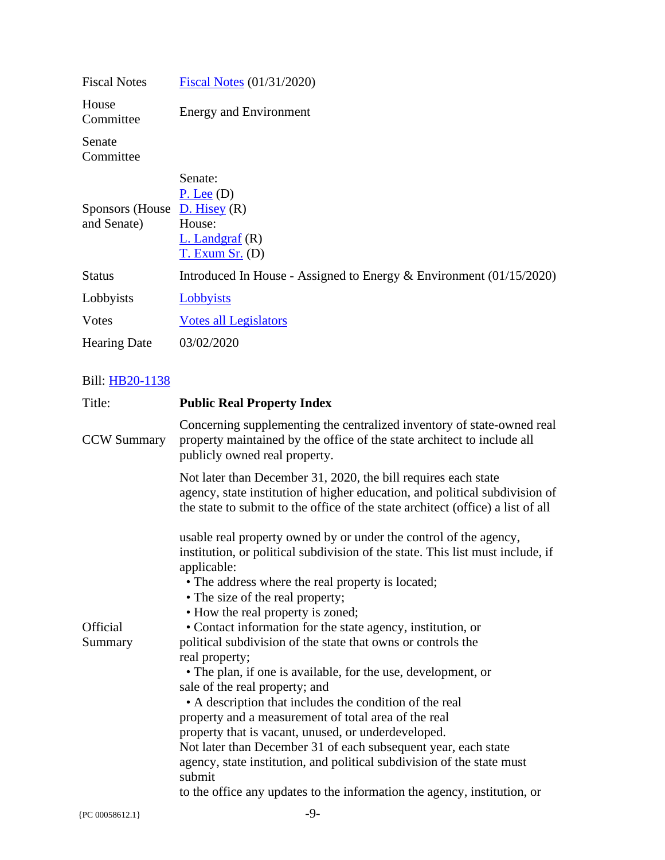| <b>Fiscal Notes</b>                            | <b>Fiscal Notes (01/31/2020)</b>                                                     |
|------------------------------------------------|--------------------------------------------------------------------------------------|
| House<br>Committee                             | <b>Energy and Environment</b>                                                        |
| Senate<br>Committee                            |                                                                                      |
| Sponsors (House $D$ . Hisey (R)<br>and Senate) | Senate:<br>$P.$ Lee $(D)$<br>House:<br>$L.$ Landgraf $(R)$<br><u>T. Exum Sr.</u> (D) |
| <b>Status</b>                                  | Introduced In House - Assigned to Energy $\&$ Environment (01/15/2020)               |
| Lobbyists                                      | Lobbyists                                                                            |
| Votes                                          | <b>Votes all Legislators</b>                                                         |
| <b>Hearing Date</b>                            | 03/02/2020                                                                           |

| Title:             | <b>Public Real Property Index</b>                                                                                                                                                                                                |
|--------------------|----------------------------------------------------------------------------------------------------------------------------------------------------------------------------------------------------------------------------------|
| <b>CCW Summary</b> | Concerning supplementing the centralized inventory of state-owned real<br>property maintained by the office of the state architect to include all<br>publicly owned real property.                                               |
|                    | Not later than December 31, 2020, the bill requires each state<br>agency, state institution of higher education, and political subdivision of<br>the state to submit to the office of the state architect (office) a list of all |
|                    | usable real property owned by or under the control of the agency,                                                                                                                                                                |
|                    | institution, or political subdivision of the state. This list must include, if<br>applicable:                                                                                                                                    |
|                    | • The address where the real property is located;                                                                                                                                                                                |
|                    | • The size of the real property;                                                                                                                                                                                                 |
|                    | • How the real property is zoned;                                                                                                                                                                                                |
| <b>Official</b>    | • Contact information for the state agency, institution, or                                                                                                                                                                      |
| Summary            | political subdivision of the state that owns or controls the                                                                                                                                                                     |
|                    | real property;                                                                                                                                                                                                                   |
|                    | • The plan, if one is available, for the use, development, or<br>sale of the real property; and                                                                                                                                  |
|                    | • A description that includes the condition of the real                                                                                                                                                                          |
|                    | property and a measurement of total area of the real                                                                                                                                                                             |
|                    | property that is vacant, unused, or underdeveloped.                                                                                                                                                                              |
|                    | Not later than December 31 of each subsequent year, each state                                                                                                                                                                   |
|                    | agency, state institution, and political subdivision of the state must<br>submit                                                                                                                                                 |
|                    | to the office any updates to the information the agency, institution, or                                                                                                                                                         |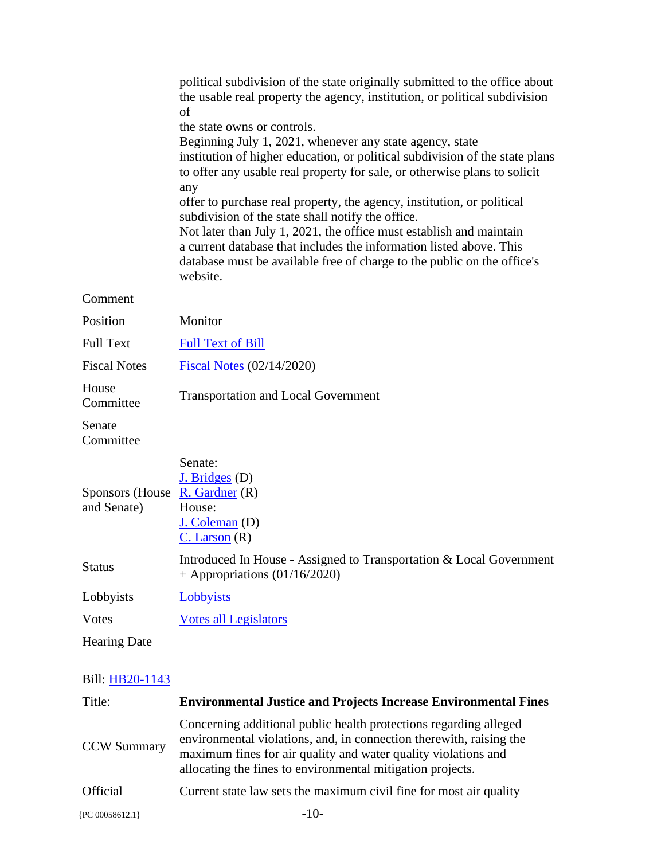|                                                             | political subdivision of the state originally submitted to the office about<br>the usable real property the agency, institution, or political subdivision<br>of<br>the state owns or controls.<br>Beginning July 1, 2021, whenever any state agency, state<br>institution of higher education, or political subdivision of the state plans<br>to offer any usable real property for sale, or otherwise plans to solicit<br>any<br>offer to purchase real property, the agency, institution, or political<br>subdivision of the state shall notify the office.<br>Not later than July 1, 2021, the office must establish and maintain<br>a current database that includes the information listed above. This<br>database must be available free of charge to the public on the office's<br>website. |
|-------------------------------------------------------------|----------------------------------------------------------------------------------------------------------------------------------------------------------------------------------------------------------------------------------------------------------------------------------------------------------------------------------------------------------------------------------------------------------------------------------------------------------------------------------------------------------------------------------------------------------------------------------------------------------------------------------------------------------------------------------------------------------------------------------------------------------------------------------------------------|
| Comment                                                     |                                                                                                                                                                                                                                                                                                                                                                                                                                                                                                                                                                                                                                                                                                                                                                                                    |
| Position                                                    | Monitor                                                                                                                                                                                                                                                                                                                                                                                                                                                                                                                                                                                                                                                                                                                                                                                            |
| <b>Full Text</b>                                            | <b>Full Text of Bill</b>                                                                                                                                                                                                                                                                                                                                                                                                                                                                                                                                                                                                                                                                                                                                                                           |
| <b>Fiscal Notes</b>                                         | Fiscal Notes (02/14/2020)                                                                                                                                                                                                                                                                                                                                                                                                                                                                                                                                                                                                                                                                                                                                                                          |
| House<br>Committee                                          | <b>Transportation and Local Government</b>                                                                                                                                                                                                                                                                                                                                                                                                                                                                                                                                                                                                                                                                                                                                                         |
| Senate<br>Committee                                         |                                                                                                                                                                                                                                                                                                                                                                                                                                                                                                                                                                                                                                                                                                                                                                                                    |
| Sponsors (House $\overline{R}$ . Gardner (R)<br>and Senate) | Senate:<br>$J.$ Bridges (D)<br>House:<br>$J.$ Coleman $(D)$<br>$C.$ Larson $(R)$                                                                                                                                                                                                                                                                                                                                                                                                                                                                                                                                                                                                                                                                                                                   |
| <b>Status</b>                                               | Introduced In House - Assigned to Transportation & Local Government<br>+ Appropriations $(01/16/2020)$                                                                                                                                                                                                                                                                                                                                                                                                                                                                                                                                                                                                                                                                                             |
| Lobbyists                                                   | <b>Lobbyists</b>                                                                                                                                                                                                                                                                                                                                                                                                                                                                                                                                                                                                                                                                                                                                                                                   |
| <b>Votes</b>                                                | <b>Votes all Legislators</b>                                                                                                                                                                                                                                                                                                                                                                                                                                                                                                                                                                                                                                                                                                                                                                       |
| <b>Hearing Date</b>                                         |                                                                                                                                                                                                                                                                                                                                                                                                                                                                                                                                                                                                                                                                                                                                                                                                    |
| Bill: HB20-1143                                             |                                                                                                                                                                                                                                                                                                                                                                                                                                                                                                                                                                                                                                                                                                                                                                                                    |
| Title:                                                      | <b>Environmental Justice and Projects Increase Environmental Fines</b>                                                                                                                                                                                                                                                                                                                                                                                                                                                                                                                                                                                                                                                                                                                             |
| <b>CCW Summary</b>                                          | Concerning additional public health protections regarding alleged<br>environmental violations, and, in connection therewith, raising the<br>maximum fines for air quality and water quality violations and                                                                                                                                                                                                                                                                                                                                                                                                                                                                                                                                                                                         |

Official Current state law sets the maximum civil fine for most air quality

allocating the fines to environmental mitigation projects.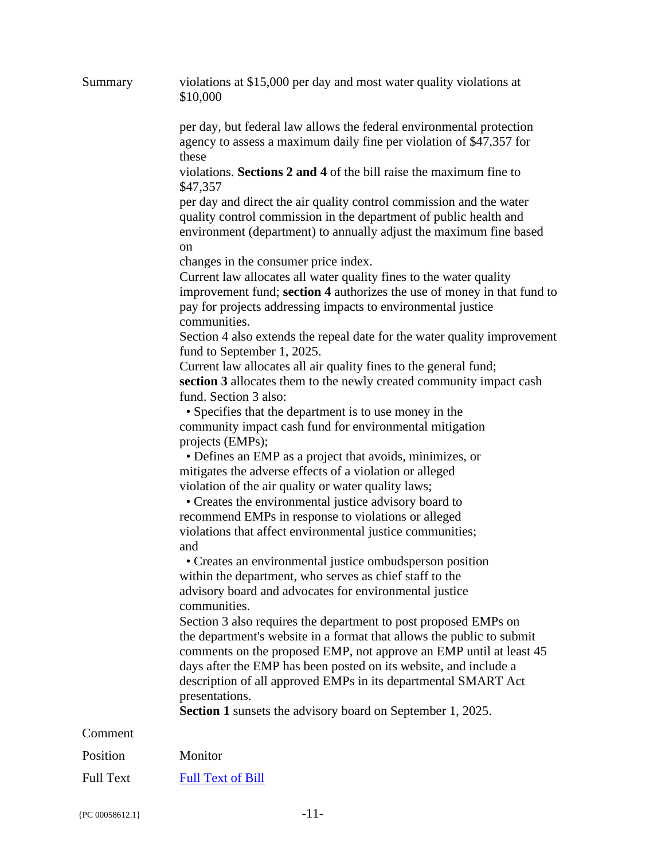| Summary          | violations at \$15,000 per day and most water quality violations at<br>\$10,000                                                                                                                                                                                                                                                                                                                                                      |
|------------------|--------------------------------------------------------------------------------------------------------------------------------------------------------------------------------------------------------------------------------------------------------------------------------------------------------------------------------------------------------------------------------------------------------------------------------------|
|                  | per day, but federal law allows the federal environmental protection<br>agency to assess a maximum daily fine per violation of \$47,357 for                                                                                                                                                                                                                                                                                          |
|                  | these<br>violations. Sections 2 and 4 of the bill raise the maximum fine to<br>\$47,357                                                                                                                                                                                                                                                                                                                                              |
|                  | per day and direct the air quality control commission and the water<br>quality control commission in the department of public health and<br>environment (department) to annually adjust the maximum fine based<br><sub>on</sub>                                                                                                                                                                                                      |
|                  | changes in the consumer price index.<br>Current law allocates all water quality fines to the water quality<br>improvement fund; section 4 authorizes the use of money in that fund to<br>pay for projects addressing impacts to environmental justice<br>communities.                                                                                                                                                                |
|                  | Section 4 also extends the repeal date for the water quality improvement<br>fund to September 1, 2025.                                                                                                                                                                                                                                                                                                                               |
|                  | Current law allocates all air quality fines to the general fund;<br>section 3 allocates them to the newly created community impact cash<br>fund. Section 3 also:                                                                                                                                                                                                                                                                     |
|                  | • Specifies that the department is to use money in the<br>community impact cash fund for environmental mitigation<br>projects (EMPs);                                                                                                                                                                                                                                                                                                |
|                  | • Defines an EMP as a project that avoids, minimizes, or<br>mitigates the adverse effects of a violation or alleged<br>violation of the air quality or water quality laws;<br>• Creates the environmental justice advisory board to<br>recommend EMPs in response to violations or alleged                                                                                                                                           |
|                  | violations that affect environmental justice communities;<br>and                                                                                                                                                                                                                                                                                                                                                                     |
|                  | • Creates an environmental justice ombudsperson position<br>within the department, who serves as chief staff to the<br>advisory board and advocates for environmental justice<br>communities.                                                                                                                                                                                                                                        |
|                  | Section 3 also requires the department to post proposed EMPs on<br>the department's website in a format that allows the public to submit<br>comments on the proposed EMP, not approve an EMP until at least 45<br>days after the EMP has been posted on its website, and include a<br>description of all approved EMPs in its departmental SMART Act<br>presentations.<br>Section 1 sunsets the advisory board on September 1, 2025. |
| Comment          |                                                                                                                                                                                                                                                                                                                                                                                                                                      |
| Position         | Monitor                                                                                                                                                                                                                                                                                                                                                                                                                              |
| <b>Full Text</b> | <b>Full Text of Bill</b>                                                                                                                                                                                                                                                                                                                                                                                                             |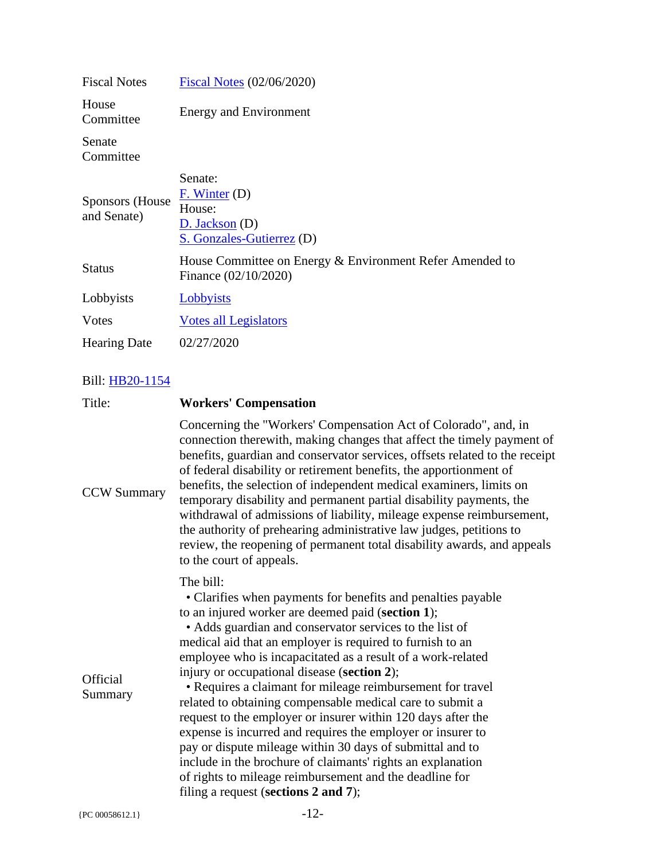| <b>Fiscal Notes</b>             | Fiscal Notes (02/06/2020)                                                               |
|---------------------------------|-----------------------------------------------------------------------------------------|
| House<br>Committee              | Energy and Environment                                                                  |
| Senate<br>Committee             |                                                                                         |
| Sponsors (House)<br>and Senate) | Senate:<br>$F.$ Winter (D)<br>House:<br>$D.$ Jackson $(D)$<br>S. Gonzales-Gutierrez (D) |
| <b>Status</b>                   | House Committee on Energy & Environment Refer Amended to<br>Finance (02/10/2020)        |
| Lobbyists                       | Lobbyists                                                                               |
| Votes                           | Votes all Legislators                                                                   |
| <b>Hearing Date</b>             | 02/27/2020                                                                              |

| Concerning the "Workers' Compensation Act of Colorado", and, in<br>connection therewith, making changes that affect the timely payment of<br>benefits, guardian and conservator services, offsets related to the receipt<br>of federal disability or retirement benefits, the apportionment of<br>benefits, the selection of independent medical examiners, limits on<br><b>CCW Summary</b><br>temporary disability and permanent partial disability payments, the<br>withdrawal of admissions of liability, mileage expense reimbursement,<br>the authority of prehearing administrative law judges, petitions to<br>review, the reopening of permanent total disability awards, and appeals<br>to the court of appeals.<br>The bill:<br>• Clarifies when payments for benefits and penalties payable<br>to an injured worker are deemed paid (section 1);<br>• Adds guardian and conservator services to the list of<br>medical aid that an employer is required to furnish to an<br>employee who is incapacitated as a result of a work-related<br>injury or occupational disease (section 2);<br>Official<br>• Requires a claimant for mileage reimbursement for travel<br>Summary<br>related to obtaining compensable medical care to submit a<br>request to the employer or insurer within 120 days after the<br>expense is incurred and requires the employer or insurer to<br>pay or dispute mileage within 30 days of submittal and to<br>include in the brochure of claimants' rights an explanation<br>of rights to mileage reimbursement and the deadline for<br>filing a request (sections 2 and 7);<br>$-12-$<br>{PC 00058612.1} | Title: | <b>Workers' Compensation</b> |
|------------------------------------------------------------------------------------------------------------------------------------------------------------------------------------------------------------------------------------------------------------------------------------------------------------------------------------------------------------------------------------------------------------------------------------------------------------------------------------------------------------------------------------------------------------------------------------------------------------------------------------------------------------------------------------------------------------------------------------------------------------------------------------------------------------------------------------------------------------------------------------------------------------------------------------------------------------------------------------------------------------------------------------------------------------------------------------------------------------------------------------------------------------------------------------------------------------------------------------------------------------------------------------------------------------------------------------------------------------------------------------------------------------------------------------------------------------------------------------------------------------------------------------------------------------------------------------------------------------------------------------------------|--------|------------------------------|
|                                                                                                                                                                                                                                                                                                                                                                                                                                                                                                                                                                                                                                                                                                                                                                                                                                                                                                                                                                                                                                                                                                                                                                                                                                                                                                                                                                                                                                                                                                                                                                                                                                                |        |                              |
|                                                                                                                                                                                                                                                                                                                                                                                                                                                                                                                                                                                                                                                                                                                                                                                                                                                                                                                                                                                                                                                                                                                                                                                                                                                                                                                                                                                                                                                                                                                                                                                                                                                |        |                              |
|                                                                                                                                                                                                                                                                                                                                                                                                                                                                                                                                                                                                                                                                                                                                                                                                                                                                                                                                                                                                                                                                                                                                                                                                                                                                                                                                                                                                                                                                                                                                                                                                                                                |        |                              |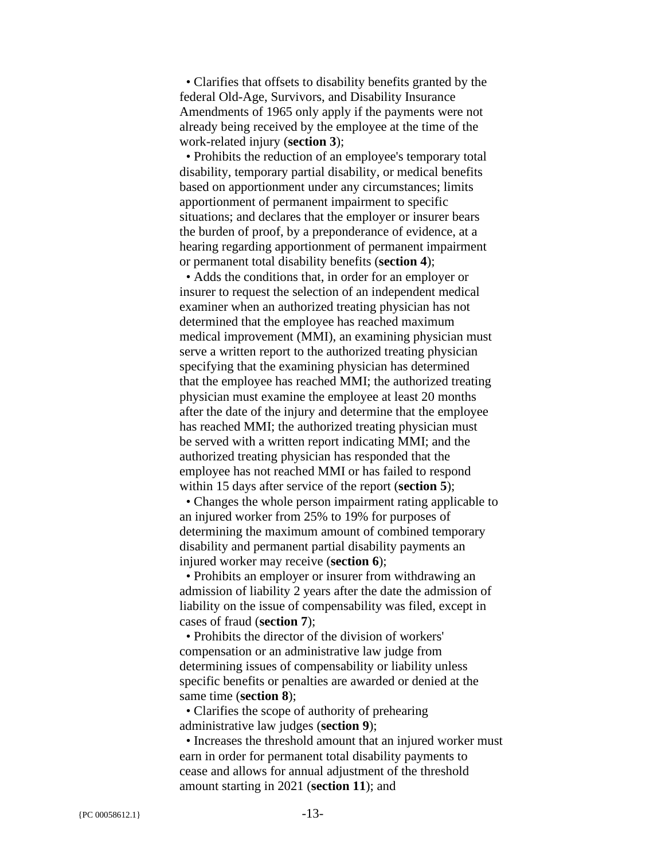• Clarifies that offsets to disability benefits granted by the federal Old-Age, Survivors, and Disability Insurance Amendments of 1965 only apply if the payments were not already being received by the employee at the time of the work-related injury (**section 3**);

 • Prohibits the reduction of an employee's temporary total disability, temporary partial disability, or medical benefits based on apportionment under any circumstances; limits apportionment of permanent impairment to specific situations; and declares that the employer or insurer bears the burden of proof, by a preponderance of evidence, at a hearing regarding apportionment of permanent impairment or permanent total disability benefits (**section 4**);

 • Adds the conditions that, in order for an employer or insurer to request the selection of an independent medical examiner when an authorized treating physician has not determined that the employee has reached maximum medical improvement (MMI), an examining physician must serve a written report to the authorized treating physician specifying that the examining physician has determined that the employee has reached MMI; the authorized treating physician must examine the employee at least 20 months after the date of the injury and determine that the employee has reached MMI; the authorized treating physician must be served with a written report indicating MMI; and the authorized treating physician has responded that the employee has not reached MMI or has failed to respond within 15 days after service of the report (**section 5**);

 • Changes the whole person impairment rating applicable to an injured worker from 25% to 19% for purposes of determining the maximum amount of combined temporary disability and permanent partial disability payments an injured worker may receive (**section 6**);

 • Prohibits an employer or insurer from withdrawing an admission of liability 2 years after the date the admission of liability on the issue of compensability was filed, except in cases of fraud (**section 7**);

 • Prohibits the director of the division of workers' compensation or an administrative law judge from determining issues of compensability or liability unless specific benefits or penalties are awarded or denied at the same time (**section 8**);

 • Clarifies the scope of authority of prehearing administrative law judges (**section 9**);

 • Increases the threshold amount that an injured worker must earn in order for permanent total disability payments to cease and allows for annual adjustment of the threshold amount starting in 2021 (**section 11**); and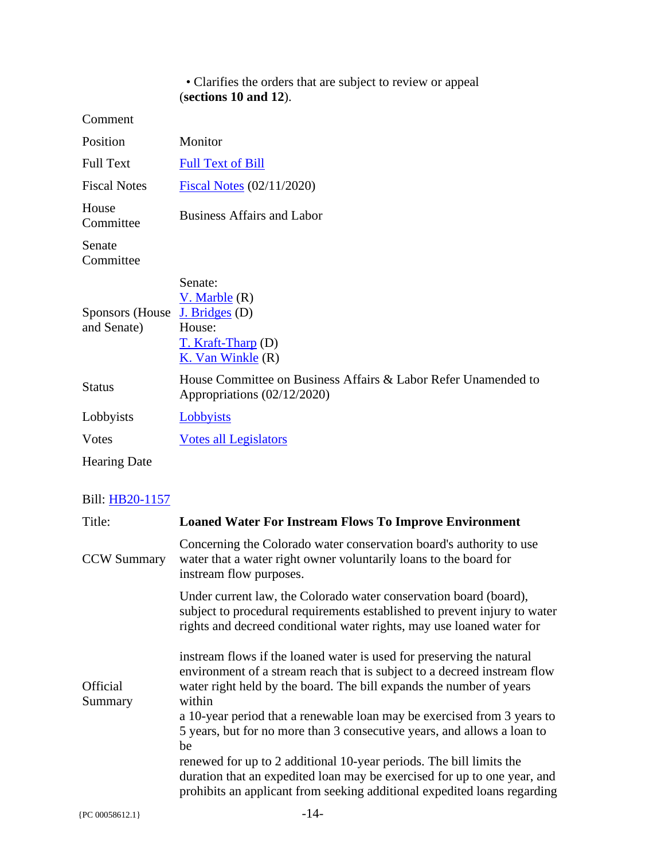#### • Clarifies the orders that are subject to review or appeal (**sections 10 and 12**).

Comment

| Position                       | Monitor                                                                                               |
|--------------------------------|-------------------------------------------------------------------------------------------------------|
| <b>Full Text</b>               | <b>Full Text of Bill</b>                                                                              |
| <b>Fiscal Notes</b>            | <b>Fiscal Notes</b> (02/11/2020)                                                                      |
| House<br>Committee             | <b>Business Affairs and Labor</b>                                                                     |
| Senate<br>Committee            |                                                                                                       |
| Sponsors (House<br>and Senate) | Senate:<br>$V.$ Marble $(R)$<br>J. Bridges (D)<br>House:<br>T. Kraft-Tharp (D)<br>K. Van Winkle $(R)$ |
| <b>Status</b>                  | House Committee on Business Affairs & Labor Refer Unamended to<br>Appropriations $(02/12/2020)$       |
| Lobbyists                      | Lobbyists                                                                                             |
| <b>V</b> otes                  | <b>Votes all Legislators</b>                                                                          |
| <b>Hearing Date</b>            |                                                                                                       |

| Title:                     | <b>Loaned Water For Instream Flows To Improve Environment</b>                                                                                                                                                                      |
|----------------------------|------------------------------------------------------------------------------------------------------------------------------------------------------------------------------------------------------------------------------------|
| <b>CCW Summary</b>         | Concerning the Colorado water conservation board's authority to use<br>water that a water right owner voluntarily loans to the board for<br>instream flow purposes.                                                                |
|                            | Under current law, the Colorado water conservation board (board),<br>subject to procedural requirements established to prevent injury to water<br>rights and decreed conditional water rights, may use loaned water for            |
| <b>Official</b><br>Summary | instream flows if the loaned water is used for preserving the natural<br>environment of a stream reach that is subject to a decreed instream flow<br>water right held by the board. The bill expands the number of years<br>within |
|                            | a 10-year period that a renewable loan may be exercised from 3 years to<br>5 years, but for no more than 3 consecutive years, and allows a loan to<br>be                                                                           |
|                            | renewed for up to 2 additional 10-year periods. The bill limits the<br>duration that an expedited loan may be exercised for up to one year, and<br>prohibits an applicant from seeking additional expedited loans regarding        |
| {PC 00058612.1}            | $-14-$                                                                                                                                                                                                                             |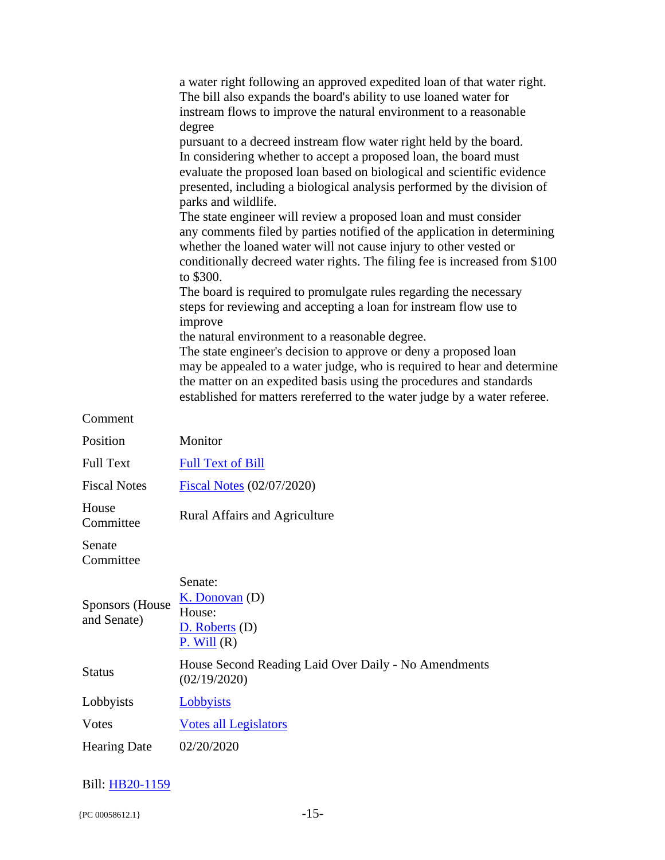|                                       | a water right following an approved expedited loan of that water right.<br>The bill also expands the board's ability to use loaned water for<br>instream flows to improve the natural environment to a reasonable<br>degree                                                                                                                        |
|---------------------------------------|----------------------------------------------------------------------------------------------------------------------------------------------------------------------------------------------------------------------------------------------------------------------------------------------------------------------------------------------------|
|                                       | pursuant to a decreed instream flow water right held by the board.<br>In considering whether to accept a proposed loan, the board must<br>evaluate the proposed loan based on biological and scientific evidence<br>presented, including a biological analysis performed by the division of<br>parks and wildlife.                                 |
|                                       | The state engineer will review a proposed loan and must consider<br>any comments filed by parties notified of the application in determining<br>whether the loaned water will not cause injury to other vested or<br>conditionally decreed water rights. The filing fee is increased from \$100<br>to \$300.                                       |
|                                       | The board is required to promulgate rules regarding the necessary<br>steps for reviewing and accepting a loan for instream flow use to<br>improve                                                                                                                                                                                                  |
|                                       | the natural environment to a reasonable degree.<br>The state engineer's decision to approve or deny a proposed loan<br>may be appealed to a water judge, who is required to hear and determine<br>the matter on an expedited basis using the procedures and standards<br>established for matters rereferred to the water judge by a water referee. |
| Comment                               |                                                                                                                                                                                                                                                                                                                                                    |
| Position                              | Monitor                                                                                                                                                                                                                                                                                                                                            |
| <b>Full Text</b>                      | <b>Full Text of Bill</b>                                                                                                                                                                                                                                                                                                                           |
| <b>Fiscal Notes</b>                   | <b>Fiscal Notes (02/07/2020)</b>                                                                                                                                                                                                                                                                                                                   |
| House<br>Committee                    | <b>Rural Affairs and Agriculture</b>                                                                                                                                                                                                                                                                                                               |
| Senate<br>Committee                   |                                                                                                                                                                                                                                                                                                                                                    |
| <b>Sponsors</b> (House<br>and Senate) | Senate:<br>K. Donovan(D)<br>House:<br>$D.$ Roberts $(D)$<br>P. Will(R)                                                                                                                                                                                                                                                                             |
| <b>Status</b>                         | House Second Reading Laid Over Daily - No Amendments<br>(02/19/2020)                                                                                                                                                                                                                                                                               |
| Lobbyists                             | Lobbyists                                                                                                                                                                                                                                                                                                                                          |
| <b>Votes</b>                          | <b>Votes all Legislators</b>                                                                                                                                                                                                                                                                                                                       |
| <b>Hearing Date</b>                   | 02/20/2020                                                                                                                                                                                                                                                                                                                                         |
|                                       |                                                                                                                                                                                                                                                                                                                                                    |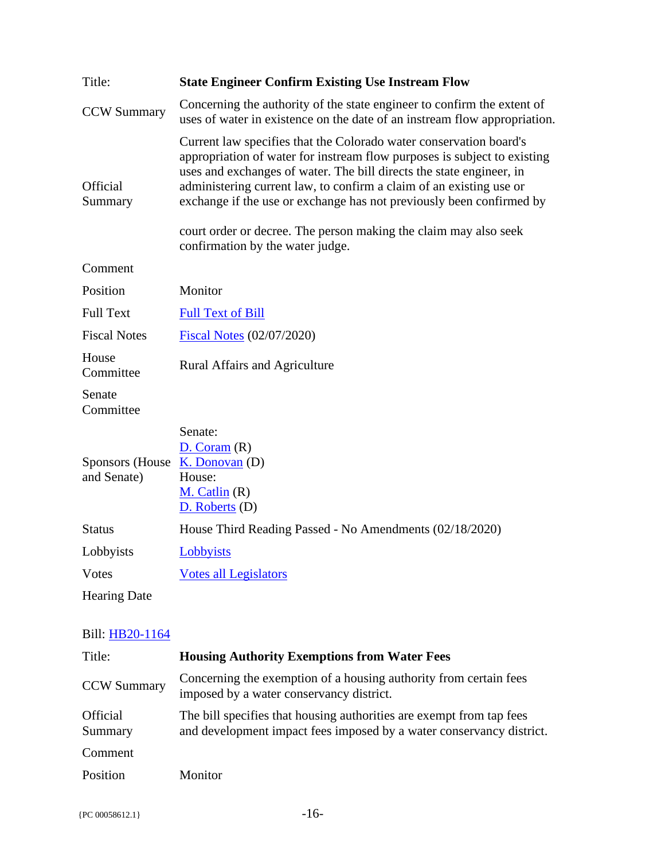| Title:                          | <b>State Engineer Confirm Existing Use Instream Flow</b>                                                                                                                                                                                                                                                                                                              |
|---------------------------------|-----------------------------------------------------------------------------------------------------------------------------------------------------------------------------------------------------------------------------------------------------------------------------------------------------------------------------------------------------------------------|
| <b>CCW Summary</b>              | Concerning the authority of the state engineer to confirm the extent of<br>uses of water in existence on the date of an instream flow appropriation.                                                                                                                                                                                                                  |
| Official<br>Summary             | Current law specifies that the Colorado water conservation board's<br>appropriation of water for instream flow purposes is subject to existing<br>uses and exchanges of water. The bill directs the state engineer, in<br>administering current law, to confirm a claim of an existing use or<br>exchange if the use or exchange has not previously been confirmed by |
|                                 | court order or decree. The person making the claim may also seek<br>confirmation by the water judge.                                                                                                                                                                                                                                                                  |
| Comment                         |                                                                                                                                                                                                                                                                                                                                                                       |
| Position                        | Monitor                                                                                                                                                                                                                                                                                                                                                               |
| <b>Full Text</b>                | <b>Full Text of Bill</b>                                                                                                                                                                                                                                                                                                                                              |
| <b>Fiscal Notes</b>             | <b>Fiscal Notes (02/07/2020)</b>                                                                                                                                                                                                                                                                                                                                      |
| House<br>Committee              | <b>Rural Affairs and Agriculture</b>                                                                                                                                                                                                                                                                                                                                  |
| Senate<br>Committee             |                                                                                                                                                                                                                                                                                                                                                                       |
| Sponsors (House)<br>and Senate) | Senate:<br>D. Coram(R)<br>K. Donovan(D)<br>House:<br>$M.$ Catlin $(R)$<br>D. Roberts (D)                                                                                                                                                                                                                                                                              |
| <b>Status</b>                   | House Third Reading Passed - No Amendments (02/18/2020)                                                                                                                                                                                                                                                                                                               |
| Lobbyists                       | Lobbyists                                                                                                                                                                                                                                                                                                                                                             |
| <b>Votes</b>                    | <b>Votes all Legislators</b>                                                                                                                                                                                                                                                                                                                                          |
| <b>Hearing Date</b>             |                                                                                                                                                                                                                                                                                                                                                                       |

| Title:                     | <b>Housing Authority Exemptions from Water Fees</b>                                                                                          |
|----------------------------|----------------------------------------------------------------------------------------------------------------------------------------------|
| <b>CCW Summary</b>         | Concerning the exemption of a housing authority from certain fees<br>imposed by a water conservancy district.                                |
| <b>Official</b><br>Summary | The bill specifies that housing authorities are exempt from tap fees<br>and development impact fees imposed by a water conservancy district. |
| Comment                    |                                                                                                                                              |
| Position                   | Monitor                                                                                                                                      |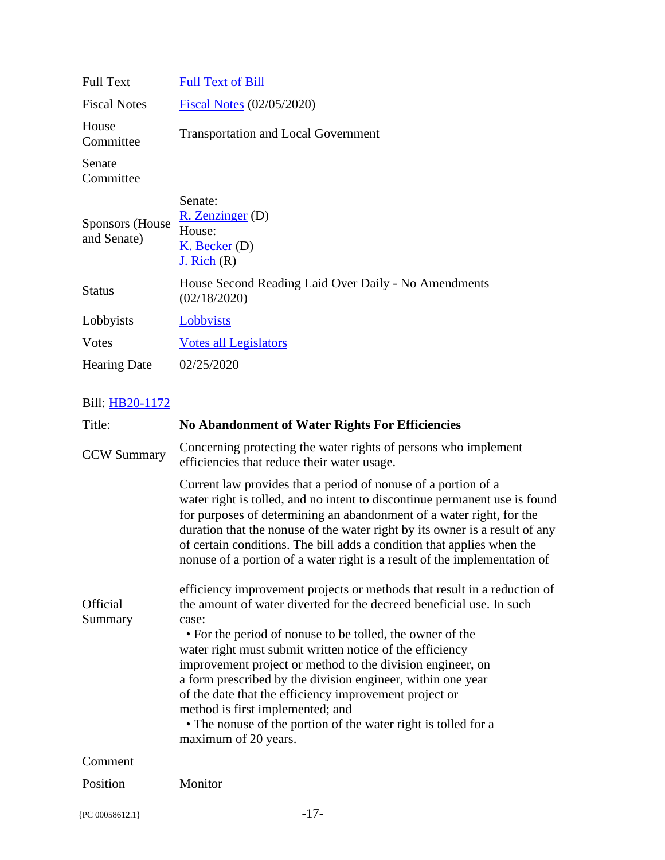| <b>Full Text of Bill</b>                                                           |
|------------------------------------------------------------------------------------|
| Fiscal Notes (02/05/2020)                                                          |
| <b>Transportation and Local Government</b>                                         |
|                                                                                    |
| Senate:<br>$R.$ Zenzinger $(D)$<br>House:<br>$K.$ Becker (D)<br><u>J. Rich</u> (R) |
| House Second Reading Laid Over Daily - No Amendments<br>(02/18/2020)               |
| <b>Lobbyists</b>                                                                   |
| <b>Votes all Legislators</b>                                                       |
| 02/25/2020                                                                         |
|                                                                                    |

| Title:              | <b>No Abandonment of Water Rights For Efficiencies</b>                                                                                                                                                                                                                                                                                                                                                                                                                                                                                                                                                  |
|---------------------|---------------------------------------------------------------------------------------------------------------------------------------------------------------------------------------------------------------------------------------------------------------------------------------------------------------------------------------------------------------------------------------------------------------------------------------------------------------------------------------------------------------------------------------------------------------------------------------------------------|
| <b>CCW Summary</b>  | Concerning protecting the water rights of persons who implement<br>efficiencies that reduce their water usage.                                                                                                                                                                                                                                                                                                                                                                                                                                                                                          |
|                     | Current law provides that a period of nonuse of a portion of a<br>water right is tolled, and no intent to discontinue permanent use is found<br>for purposes of determining an abandonment of a water right, for the<br>duration that the nonuse of the water right by its owner is a result of any<br>of certain conditions. The bill adds a condition that applies when the<br>nonuse of a portion of a water right is a result of the implementation of                                                                                                                                              |
| Official<br>Summary | efficiency improvement projects or methods that result in a reduction of<br>the amount of water diverted for the decreed beneficial use. In such<br>case:<br>• For the period of nonuse to be tolled, the owner of the<br>water right must submit written notice of the efficiency<br>improvement project or method to the division engineer, on<br>a form prescribed by the division engineer, within one year<br>of the date that the efficiency improvement project or<br>method is first implemented; and<br>• The nonuse of the portion of the water right is tolled for a<br>maximum of 20 years. |
| Comment             |                                                                                                                                                                                                                                                                                                                                                                                                                                                                                                                                                                                                         |
| Position            | Monitor                                                                                                                                                                                                                                                                                                                                                                                                                                                                                                                                                                                                 |
| {PC 00058612.1}     | $-17-$                                                                                                                                                                                                                                                                                                                                                                                                                                                                                                                                                                                                  |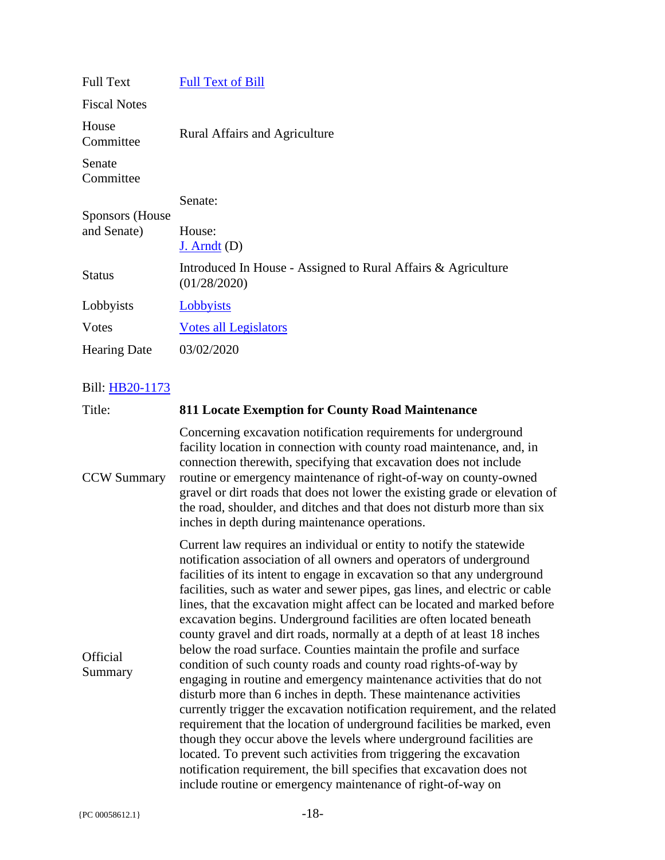| <b>Full Text</b>               | <b>Full Text of Bill</b>                                                                                                                                                                                                                                                          |
|--------------------------------|-----------------------------------------------------------------------------------------------------------------------------------------------------------------------------------------------------------------------------------------------------------------------------------|
| <b>Fiscal Notes</b>            |                                                                                                                                                                                                                                                                                   |
| House<br>Committee             | <b>Rural Affairs and Agriculture</b>                                                                                                                                                                                                                                              |
| Senate<br>Committee            |                                                                                                                                                                                                                                                                                   |
|                                | Senate:                                                                                                                                                                                                                                                                           |
| Sponsors (House<br>and Senate) | House:<br>$J.$ Arndt $(D)$                                                                                                                                                                                                                                                        |
| <b>Status</b>                  | Introduced In House - Assigned to Rural Affairs & Agriculture<br>(01/28/2020)                                                                                                                                                                                                     |
| Lobbyists                      | Lobbyists                                                                                                                                                                                                                                                                         |
| Votes                          | <b>Votes all Legislators</b>                                                                                                                                                                                                                                                      |
| <b>Hearing Date</b>            | 03/02/2020                                                                                                                                                                                                                                                                        |
| Bill: HB20-1173                |                                                                                                                                                                                                                                                                                   |
| Title:                         | <b>811 Locate Exemption for County Road Maintenance</b>                                                                                                                                                                                                                           |
| <b>CCW Summary</b>             | Concerning excavation notification requirements for underground<br>facility location in connection with county road maintenance, and, in<br>connection therewith, specifying that excavation does not include<br>routine or emergency maintenance of right-of-way on county-owned |

routine or emergency maintenance of right-of-way on county-owned gravel or dirt roads that does not lower the existing grade or elevation of the road, shoulder, and ditches and that does not disturb more than six inches in depth during maintenance operations.

**Official** Summary Current law requires an individual or entity to notify the statewide notification association of all owners and operators of underground facilities of its intent to engage in excavation so that any underground facilities, such as water and sewer pipes, gas lines, and electric or cable lines, that the excavation might affect can be located and marked before excavation begins. Underground facilities are often located beneath county gravel and dirt roads, normally at a depth of at least 18 inches below the road surface. Counties maintain the profile and surface condition of such county roads and county road rights-of-way by engaging in routine and emergency maintenance activities that do not disturb more than 6 inches in depth. These maintenance activities currently trigger the excavation notification requirement, and the related requirement that the location of underground facilities be marked, even though they occur above the levels where underground facilities are located. To prevent such activities from triggering the excavation notification requirement, the bill specifies that excavation does not include routine or emergency maintenance of right-of-way on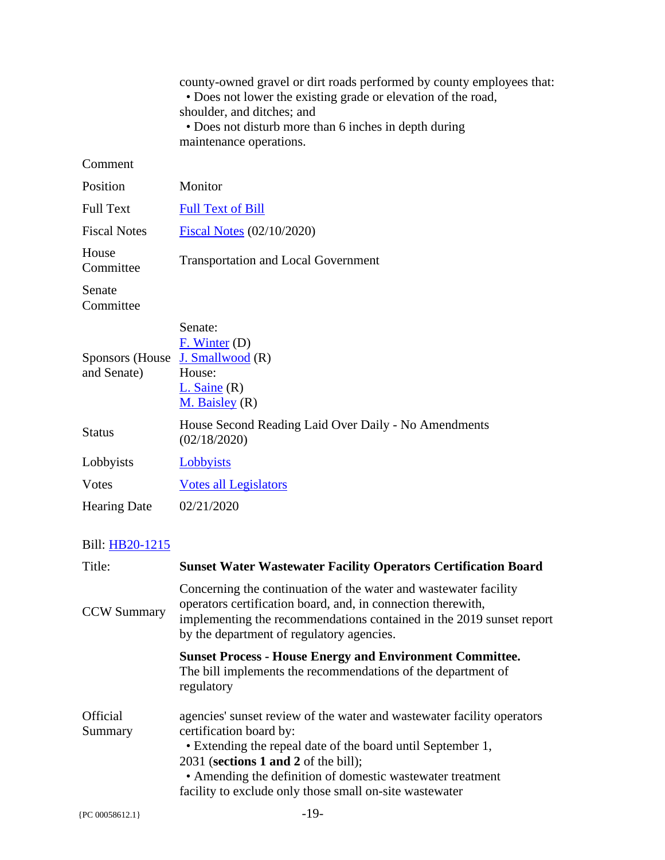|                                | county-owned gravel or dirt roads performed by county employees that:<br>• Does not lower the existing grade or elevation of the road,<br>shoulder, and ditches; and<br>• Does not disturb more than 6 inches in depth during                                                                                                       |
|--------------------------------|-------------------------------------------------------------------------------------------------------------------------------------------------------------------------------------------------------------------------------------------------------------------------------------------------------------------------------------|
|                                | maintenance operations.                                                                                                                                                                                                                                                                                                             |
| Comment                        |                                                                                                                                                                                                                                                                                                                                     |
| Position                       | Monitor                                                                                                                                                                                                                                                                                                                             |
| <b>Full Text</b>               | <b>Full Text of Bill</b>                                                                                                                                                                                                                                                                                                            |
| <b>Fiscal Notes</b>            | Fiscal Notes (02/10/2020)                                                                                                                                                                                                                                                                                                           |
| House<br>Committee             | <b>Transportation and Local Government</b>                                                                                                                                                                                                                                                                                          |
| Senate<br>Committee            |                                                                                                                                                                                                                                                                                                                                     |
| Sponsors (House<br>and Senate) | Senate:<br>F. Winter (D)<br>J. Smallwood $(R)$<br>House:<br>$L.$ Saine $(R)$<br>$M.$ Baisley $(R)$                                                                                                                                                                                                                                  |
| <b>Status</b>                  | House Second Reading Laid Over Daily - No Amendments<br>(02/18/2020)                                                                                                                                                                                                                                                                |
| Lobbyists                      | Lobbyists                                                                                                                                                                                                                                                                                                                           |
| Votes                          | <b>Votes all Legislators</b>                                                                                                                                                                                                                                                                                                        |
| <b>Hearing Date</b>            | 02/21/2020                                                                                                                                                                                                                                                                                                                          |
| Bill: HB20-1215                |                                                                                                                                                                                                                                                                                                                                     |
| Title:                         | <b>Sunset Water Wastewater Facility Operators Certification Board</b>                                                                                                                                                                                                                                                               |
| <b>CCW Summary</b>             | Concerning the continuation of the water and wastewater facility<br>operators certification board, and, in connection therewith,<br>implementing the recommendations contained in the 2019 sunset report<br>by the department of regulatory agencies.                                                                               |
|                                | <b>Sunset Process - House Energy and Environment Committee.</b><br>The bill implements the recommendations of the department of<br>regulatory                                                                                                                                                                                       |
| <b>Official</b><br>Summary     | agencies' sunset review of the water and wastewater facility operators<br>certification board by:<br>• Extending the repeal date of the board until September 1,<br>$2031$ (sections 1 and 2 of the bill);<br>• Amending the definition of domestic wastewater treatment<br>facility to exclude only those small on-site wastewater |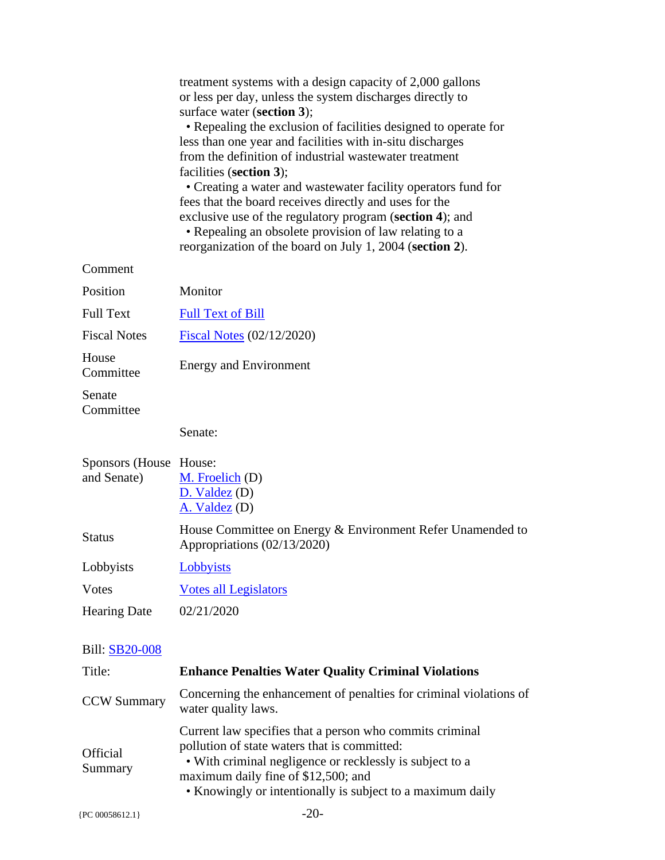|                          | treatment systems with a design capacity of 2,000 gallons<br>or less per day, unless the system discharges directly to                                  |
|--------------------------|---------------------------------------------------------------------------------------------------------------------------------------------------------|
|                          | surface water (section 3);                                                                                                                              |
|                          | • Repealing the exclusion of facilities designed to operate for<br>less than one year and facilities with in-situ discharges                            |
|                          | from the definition of industrial wastewater treatment                                                                                                  |
|                          | facilities (section 3);<br>• Creating a water and wastewater facility operators fund for                                                                |
|                          | fees that the board receives directly and uses for the                                                                                                  |
|                          | exclusive use of the regulatory program (section 4); and<br>• Repealing an obsolete provision of law relating to a                                      |
|                          | reorganization of the board on July 1, 2004 (section 2).                                                                                                |
| Comment                  |                                                                                                                                                         |
| Position                 | Monitor                                                                                                                                                 |
| <b>Full Text</b>         | <b>Full Text of Bill</b>                                                                                                                                |
| <b>Fiscal Notes</b>      | <b>Fiscal Notes (02/12/2020)</b>                                                                                                                        |
| House<br>Committee       | <b>Energy and Environment</b>                                                                                                                           |
| Senate<br>Committee      |                                                                                                                                                         |
|                          | Senate:                                                                                                                                                 |
| Sponsors (House House:   |                                                                                                                                                         |
| and Senate)              | M. Froelich (D)                                                                                                                                         |
|                          |                                                                                                                                                         |
|                          | $D.$ Valdez $(D)$                                                                                                                                       |
|                          | $A.$ Valdez (D)<br>House Committee on Energy & Environment Refer Unamended to                                                                           |
| <b>Status</b>            | Appropriations (02/13/2020)                                                                                                                             |
| Lobbyists                | Lobbyists                                                                                                                                               |
| <b>Votes</b>             | <b>Votes all Legislators</b>                                                                                                                            |
| <b>Hearing Date</b>      | 02/21/2020                                                                                                                                              |
|                          |                                                                                                                                                         |
| Bill: SB20-008<br>Title: |                                                                                                                                                         |
| <b>CCW Summary</b>       | <b>Enhance Penalties Water Quality Criminal Violations</b><br>Concerning the enhancement of penalties for criminal violations of<br>water quality laws. |
|                          | Current law specifies that a person who commits criminal                                                                                                |
| <b>Official</b>          | pollution of state waters that is committed:                                                                                                            |
| Summary                  | • With criminal negligence or recklessly is subject to a<br>maximum daily fine of \$12,500; and                                                         |
|                          | • Knowingly or intentionally is subject to a maximum daily                                                                                              |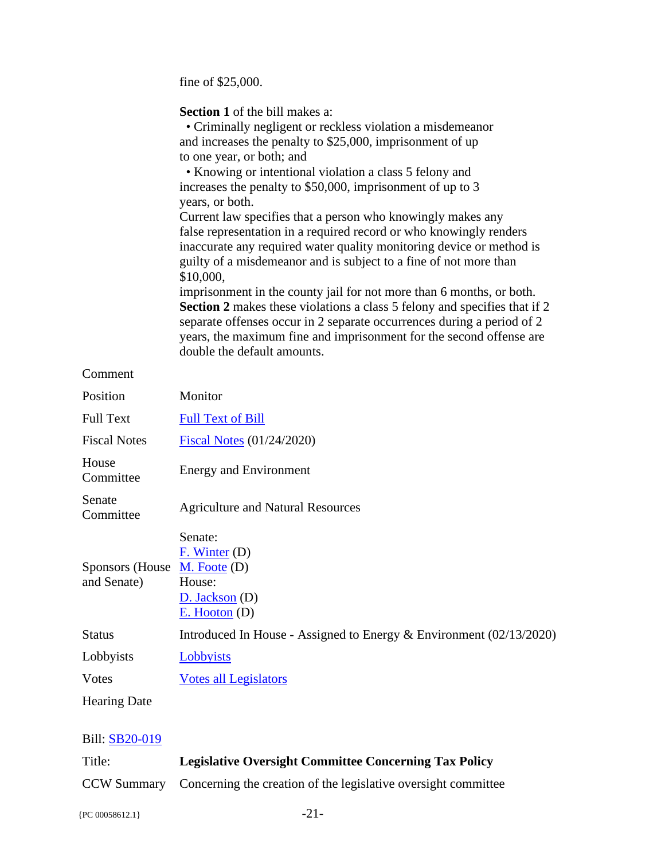fine of \$25,000.

**Section 1** of the bill makes a:

| • Criminally negligent or reckless violation a misdemean or    |
|----------------------------------------------------------------|
| and increases the penalty to \$25,000, imprisonment of up      |
| to one year, or both; and                                      |
| • <i>Vnowing or intentional violation a glass 5 folary and</i> |

 • Knowing or intentional violation a class 5 felony and increases the penalty to \$50,000, imprisonment of up to 3 years, or both.

Current law specifies that a person who knowingly makes any false representation in a required record or who knowingly renders inaccurate any required water quality monitoring device or method is guilty of a misdemeanor and is subject to a fine of not more than \$10,000,

imprisonment in the county jail for not more than 6 months, or both. **Section 2** makes these violations a class 5 felony and specifies that if 2 separate offenses occur in 2 separate occurrences during a period of 2 years, the maximum fine and imprisonment for the second offense are double the default amounts.

#### Comment

| Position                                                | Monitor                                                                |
|---------------------------------------------------------|------------------------------------------------------------------------|
| <b>Full Text</b>                                        | <b>Full Text of Bill</b>                                               |
| <b>Fiscal Notes</b>                                     | Fiscal Notes (01/24/2020)                                              |
| House<br>Committee                                      | <b>Energy and Environment</b>                                          |
| Senate<br>Committee                                     | <b>Agriculture and Natural Resources</b>                               |
| Sponsors (House $\mathbf{M}$ . Foote (D)<br>and Senate) | Senate:<br>$F.$ Winter (D)<br>House:<br>D. Jackson(D)<br>E. Hooton (D) |
| <b>Status</b>                                           | Introduced In House - Assigned to Energy $& Environment (02/13/2020)$  |
| Lobbyists                                               | Lobbyists                                                              |
| <b>V</b> otes                                           | <b>Votes all Legislators</b>                                           |
| <b>Hearing Date</b>                                     |                                                                        |

#### Bill: [SB20-019](http://coloradocapitolwatch.com/bill/0/SB20-019/2020/1/)

| Title: | <b>Legislative Oversight Committee Concerning Tax Policy</b>               |
|--------|----------------------------------------------------------------------------|
|        | CCW Summary Concerning the creation of the legislative oversight committee |

 ${PC 00058612.1}$  -21-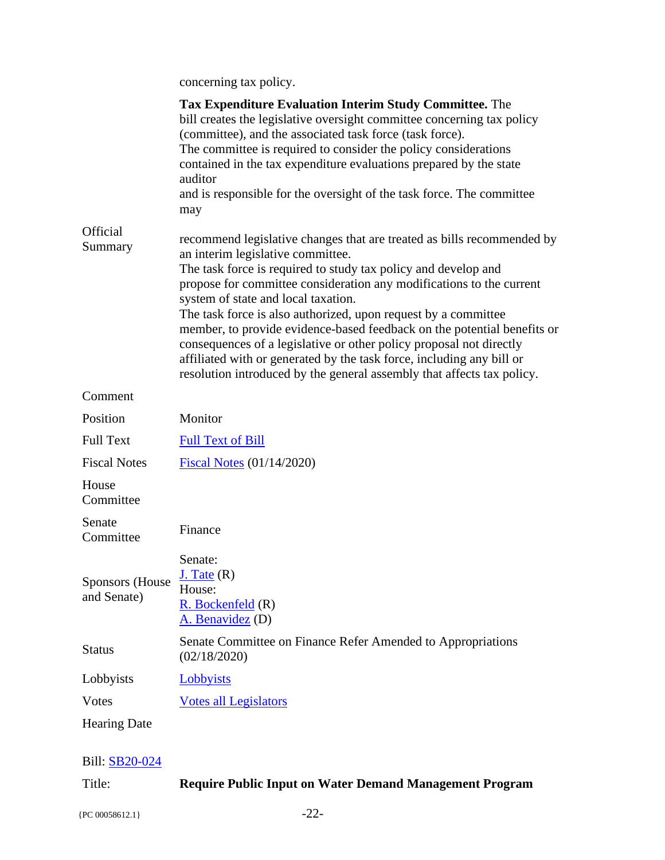concerning tax policy.

|                                       | <b>Tax Expenditure Evaluation Interim Study Committee.</b> The<br>bill creates the legislative oversight committee concerning tax policy<br>(committee), and the associated task force (task force).<br>The committee is required to consider the policy considerations<br>contained in the tax expenditure evaluations prepared by the state<br>auditor<br>and is responsible for the oversight of the task force. The committee<br>may                                                                                                                                                                                                                            |
|---------------------------------------|---------------------------------------------------------------------------------------------------------------------------------------------------------------------------------------------------------------------------------------------------------------------------------------------------------------------------------------------------------------------------------------------------------------------------------------------------------------------------------------------------------------------------------------------------------------------------------------------------------------------------------------------------------------------|
| <b>Official</b><br>Summary            | recommend legislative changes that are treated as bills recommended by<br>an interim legislative committee.<br>The task force is required to study tax policy and develop and<br>propose for committee consideration any modifications to the current<br>system of state and local taxation.<br>The task force is also authorized, upon request by a committee<br>member, to provide evidence-based feedback on the potential benefits or<br>consequences of a legislative or other policy proposal not directly<br>affiliated with or generated by the task force, including any bill or<br>resolution introduced by the general assembly that affects tax policy. |
| Comment                               |                                                                                                                                                                                                                                                                                                                                                                                                                                                                                                                                                                                                                                                                     |
| Position                              | Monitor                                                                                                                                                                                                                                                                                                                                                                                                                                                                                                                                                                                                                                                             |
| <b>Full Text</b>                      | <b>Full Text of Bill</b>                                                                                                                                                                                                                                                                                                                                                                                                                                                                                                                                                                                                                                            |
| <b>Fiscal Notes</b>                   | Fiscal Notes (01/14/2020)                                                                                                                                                                                                                                                                                                                                                                                                                                                                                                                                                                                                                                           |
| House<br>Committee                    |                                                                                                                                                                                                                                                                                                                                                                                                                                                                                                                                                                                                                                                                     |
| Senate<br>Committee                   | Finance                                                                                                                                                                                                                                                                                                                                                                                                                                                                                                                                                                                                                                                             |
| <b>Sponsors</b> (House<br>and Senate) | Senate:<br>$J_{.}$ Tate $(R)$<br>House:<br>$R.$ Bockenfeld $(R)$<br>A. Benavidez (D)                                                                                                                                                                                                                                                                                                                                                                                                                                                                                                                                                                                |
| <b>Status</b>                         | Senate Committee on Finance Refer Amended to Appropriations<br>(02/18/2020)                                                                                                                                                                                                                                                                                                                                                                                                                                                                                                                                                                                         |
| Lobbyists                             | Lobbyists                                                                                                                                                                                                                                                                                                                                                                                                                                                                                                                                                                                                                                                           |
| <b>Votes</b>                          | <b>Votes all Legislators</b>                                                                                                                                                                                                                                                                                                                                                                                                                                                                                                                                                                                                                                        |
| <b>Hearing Date</b>                   |                                                                                                                                                                                                                                                                                                                                                                                                                                                                                                                                                                                                                                                                     |

## Bill: [SB20-024](http://coloradocapitolwatch.com/bill/0/SB20-024/2020/1/)

| Title: |  | <b>Require Public Input on Water Demand Management Program</b> |  |
|--------|--|----------------------------------------------------------------|--|
|--------|--|----------------------------------------------------------------|--|

{PC 00058612.1} -22-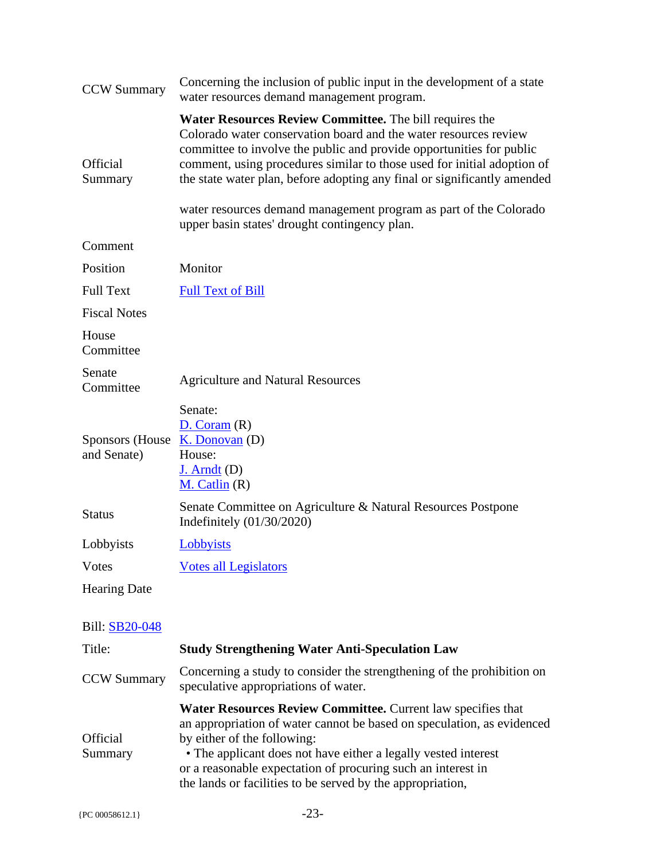| <b>CCW Summary</b>              | Concerning the inclusion of public input in the development of a state<br>water resources demand management program.                                                                                                                                                                                                                                                  |
|---------------------------------|-----------------------------------------------------------------------------------------------------------------------------------------------------------------------------------------------------------------------------------------------------------------------------------------------------------------------------------------------------------------------|
| <b>Official</b><br>Summary      | Water Resources Review Committee. The bill requires the<br>Colorado water conservation board and the water resources review<br>committee to involve the public and provide opportunities for public<br>comment, using procedures similar to those used for initial adoption of<br>the state water plan, before adopting any final or significantly amended            |
|                                 | water resources demand management program as part of the Colorado<br>upper basin states' drought contingency plan.                                                                                                                                                                                                                                                    |
| Comment                         |                                                                                                                                                                                                                                                                                                                                                                       |
| Position                        | Monitor                                                                                                                                                                                                                                                                                                                                                               |
| <b>Full Text</b>                | <b>Full Text of Bill</b>                                                                                                                                                                                                                                                                                                                                              |
| <b>Fiscal Notes</b>             |                                                                                                                                                                                                                                                                                                                                                                       |
| House<br>Committee              |                                                                                                                                                                                                                                                                                                                                                                       |
| Senate<br>Committee             | <b>Agriculture and Natural Resources</b>                                                                                                                                                                                                                                                                                                                              |
| Sponsors (House)<br>and Senate) | Senate:<br>D. Coram(R)<br>$K.$ Donovan $(D)$<br>House:<br>$J.$ Arndt $(D)$<br>M. Catlin(R)                                                                                                                                                                                                                                                                            |
| <b>Status</b>                   | Senate Committee on Agriculture & Natural Resources Postpone<br>Indefinitely $(01/30/2020)$                                                                                                                                                                                                                                                                           |
| Lobbyists                       | Lobbyists                                                                                                                                                                                                                                                                                                                                                             |
| Votes                           | <b>Votes all Legislators</b>                                                                                                                                                                                                                                                                                                                                          |
| <b>Hearing Date</b>             |                                                                                                                                                                                                                                                                                                                                                                       |
| <b>Bill: SB20-048</b>           |                                                                                                                                                                                                                                                                                                                                                                       |
| Title:                          | <b>Study Strengthening Water Anti-Speculation Law</b>                                                                                                                                                                                                                                                                                                                 |
| <b>CCW Summary</b>              | Concerning a study to consider the strengthening of the prohibition on<br>speculative appropriations of water.                                                                                                                                                                                                                                                        |
| Official<br>Summary             | Water Resources Review Committee. Current law specifies that<br>an appropriation of water cannot be based on speculation, as evidenced<br>by either of the following:<br>• The applicant does not have either a legally vested interest<br>or a reasonable expectation of procuring such an interest in<br>the lands or facilities to be served by the appropriation, |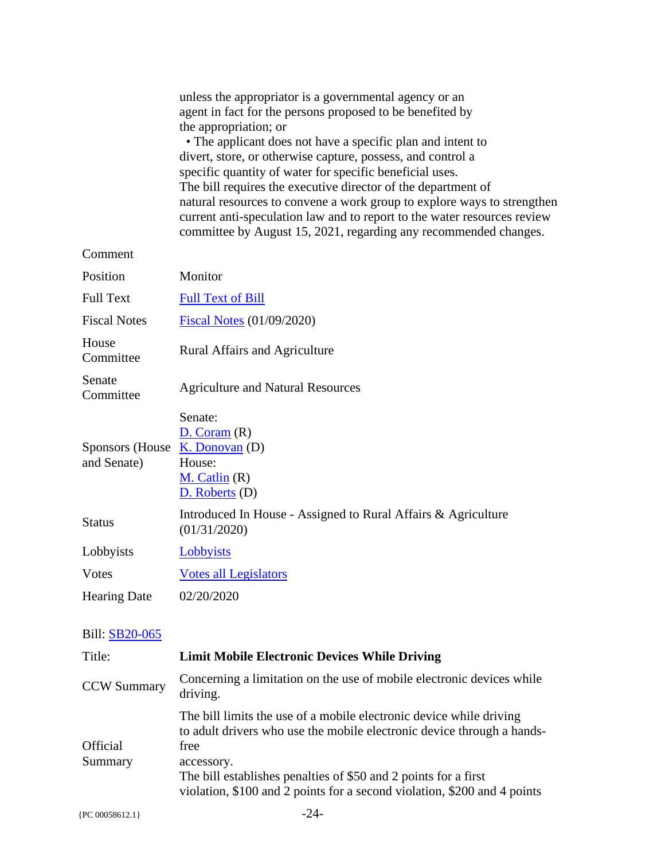|                                                             | unless the appropriator is a governmental agency or an<br>agent in fact for the persons proposed to be benefited by<br>the appropriation; or<br>• The applicant does not have a specific plan and intent to<br>divert, store, or otherwise capture, possess, and control a<br>specific quantity of water for specific beneficial uses.<br>The bill requires the executive director of the department of<br>natural resources to convene a work group to explore ways to strengthen<br>current anti-speculation law and to report to the water resources review<br>committee by August 15, 2021, regarding any recommended changes. |
|-------------------------------------------------------------|------------------------------------------------------------------------------------------------------------------------------------------------------------------------------------------------------------------------------------------------------------------------------------------------------------------------------------------------------------------------------------------------------------------------------------------------------------------------------------------------------------------------------------------------------------------------------------------------------------------------------------|
| Comment                                                     |                                                                                                                                                                                                                                                                                                                                                                                                                                                                                                                                                                                                                                    |
| Position                                                    | Monitor                                                                                                                                                                                                                                                                                                                                                                                                                                                                                                                                                                                                                            |
| <b>Full Text</b>                                            | <b>Full Text of Bill</b>                                                                                                                                                                                                                                                                                                                                                                                                                                                                                                                                                                                                           |
| <b>Fiscal Notes</b>                                         | Fiscal Notes (01/09/2020)                                                                                                                                                                                                                                                                                                                                                                                                                                                                                                                                                                                                          |
| House<br>Committee                                          | Rural Affairs and Agriculture                                                                                                                                                                                                                                                                                                                                                                                                                                                                                                                                                                                                      |
| Senate<br>Committee                                         | <b>Agriculture and Natural Resources</b>                                                                                                                                                                                                                                                                                                                                                                                                                                                                                                                                                                                           |
| Sponsors (House $\overline{K}$ . Donovan (D)<br>and Senate) | Senate:<br>D. Coram(R)<br>House:<br>$M.$ Catlin $(R)$<br>$D.$ Roberts $(D)$                                                                                                                                                                                                                                                                                                                                                                                                                                                                                                                                                        |
| <b>Status</b>                                               | Introduced In House - Assigned to Rural Affairs & Agriculture<br>(01/31/2020)                                                                                                                                                                                                                                                                                                                                                                                                                                                                                                                                                      |
| Lobbyists                                                   | <b>Lobbyists</b>                                                                                                                                                                                                                                                                                                                                                                                                                                                                                                                                                                                                                   |
| <b>Votes</b>                                                | <b>Votes all Legislators</b>                                                                                                                                                                                                                                                                                                                                                                                                                                                                                                                                                                                                       |
| <b>Hearing Date</b>                                         | 02/20/2020                                                                                                                                                                                                                                                                                                                                                                                                                                                                                                                                                                                                                         |
| Bill: SB20-065                                              |                                                                                                                                                                                                                                                                                                                                                                                                                                                                                                                                                                                                                                    |
| Title:                                                      | <b>Limit Mobile Electronic Devices While Driving</b>                                                                                                                                                                                                                                                                                                                                                                                                                                                                                                                                                                               |
| <b>CCW Summary</b>                                          | Concerning a limitation on the use of mobile electronic devices while<br>driving.                                                                                                                                                                                                                                                                                                                                                                                                                                                                                                                                                  |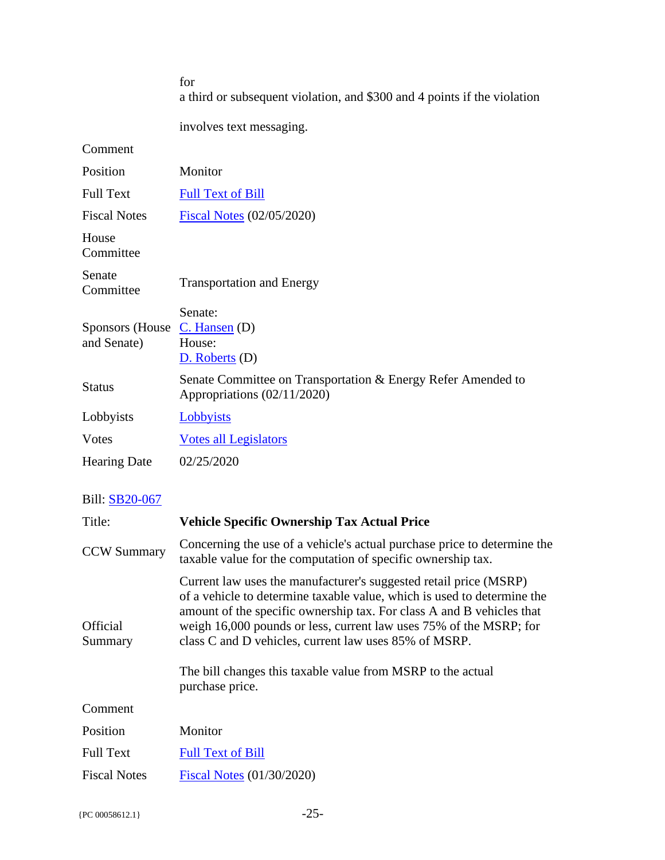|                                                | for<br>a third or subsequent violation, and \$300 and 4 points if the violation             |
|------------------------------------------------|---------------------------------------------------------------------------------------------|
|                                                | involves text messaging.                                                                    |
| Comment                                        |                                                                                             |
| Position                                       | Monitor                                                                                     |
| <b>Full Text</b>                               | <b>Full Text of Bill</b>                                                                    |
| <b>Fiscal Notes</b>                            | <b>Fiscal Notes (02/05/2020)</b>                                                            |
| House<br>Committee                             |                                                                                             |
| Senate<br>Committee                            | <b>Transportation and Energy</b>                                                            |
| Sponsors (House $C.$ Hansen (D)<br>and Senate) | Senate:<br>House:<br>D. Roberts (D)                                                         |
| <b>Status</b>                                  | Senate Committee on Transportation & Energy Refer Amended to<br>Appropriations (02/11/2020) |
| Lobbyists                                      | Lobbyists                                                                                   |
| <b>V</b> otes                                  | <b>Votes all Legislators</b>                                                                |
| <b>Hearing Date</b>                            | 02/25/2020                                                                                  |

| Title:                     | <b>Vehicle Specific Ownership Tax Actual Price</b>                                                                                                                                                                                                                                                                                                                                                                                     |
|----------------------------|----------------------------------------------------------------------------------------------------------------------------------------------------------------------------------------------------------------------------------------------------------------------------------------------------------------------------------------------------------------------------------------------------------------------------------------|
| <b>CCW Summary</b>         | Concerning the use of a vehicle's actual purchase price to determine the<br>taxable value for the computation of specific ownership tax.                                                                                                                                                                                                                                                                                               |
| <b>Official</b><br>Summary | Current law uses the manufacturer's suggested retail price (MSRP)<br>of a vehicle to determine taxable value, which is used to determine the<br>amount of the specific ownership tax. For class A and B vehicles that<br>weigh 16,000 pounds or less, current law uses 75% of the MSRP; for<br>class C and D vehicles, current law uses 85% of MSRP.<br>The bill changes this taxable value from MSRP to the actual<br>purchase price. |
| Comment                    |                                                                                                                                                                                                                                                                                                                                                                                                                                        |
| Position                   | Monitor                                                                                                                                                                                                                                                                                                                                                                                                                                |
| <b>Full Text</b>           | <b>Full Text of Bill</b>                                                                                                                                                                                                                                                                                                                                                                                                               |
| <b>Fiscal Notes</b>        | Fiscal Notes (01/30/2020)                                                                                                                                                                                                                                                                                                                                                                                                              |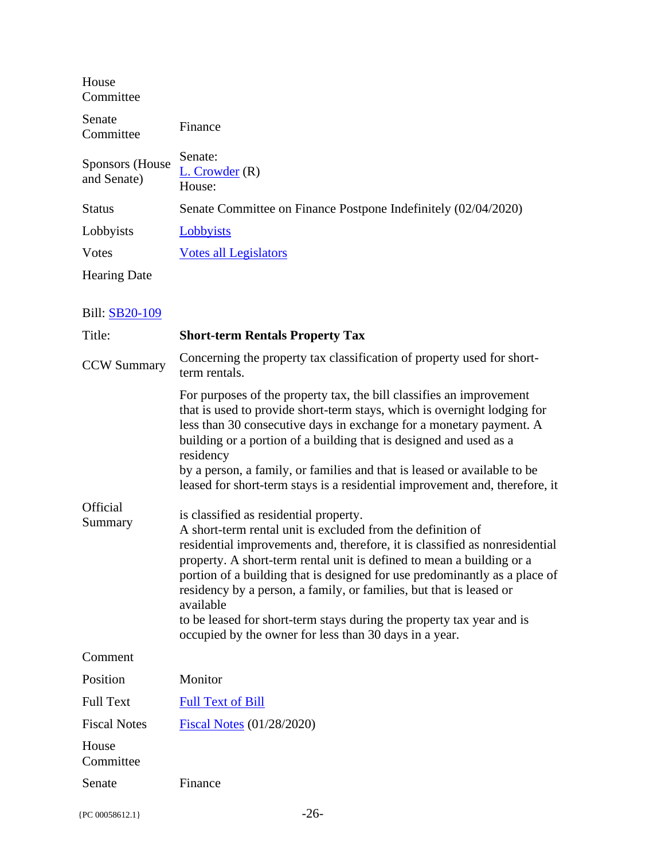| House<br>Committee              |                                                                |
|---------------------------------|----------------------------------------------------------------|
| Senate<br>Committee             | Finance                                                        |
| Sponsors (House)<br>and Senate) | Senate:<br>$L.$ Crowder $(R)$<br>House:                        |
| <b>Status</b>                   | Senate Committee on Finance Postpone Indefinitely (02/04/2020) |
| Lobbyists                       | Lobbyists                                                      |
| Votes                           | <b>Votes all Legislators</b>                                   |
| <b>Hearing Date</b>             |                                                                |

| Title:              | <b>Short-term Rentals Property Tax</b>                                                                                                                                                                                                                                                                                                                                                                                                                                                                                                                             |
|---------------------|--------------------------------------------------------------------------------------------------------------------------------------------------------------------------------------------------------------------------------------------------------------------------------------------------------------------------------------------------------------------------------------------------------------------------------------------------------------------------------------------------------------------------------------------------------------------|
| <b>CCW Summary</b>  | Concerning the property tax classification of property used for short-<br>term rentals.                                                                                                                                                                                                                                                                                                                                                                                                                                                                            |
|                     | For purposes of the property tax, the bill classifies an improvement<br>that is used to provide short-term stays, which is overnight lodging for<br>less than 30 consecutive days in exchange for a monetary payment. A<br>building or a portion of a building that is designed and used as a<br>residency<br>by a person, a family, or families and that is leased or available to be<br>leased for short-term stays is a residential improvement and, therefore, it                                                                                              |
| Official<br>Summary | is classified as residential property.<br>A short-term rental unit is excluded from the definition of<br>residential improvements and, therefore, it is classified as nonresidential<br>property. A short-term rental unit is defined to mean a building or a<br>portion of a building that is designed for use predominantly as a place of<br>residency by a person, a family, or families, but that is leased or<br>available<br>to be leased for short-term stays during the property tax year and is<br>occupied by the owner for less than 30 days in a year. |
| Comment             |                                                                                                                                                                                                                                                                                                                                                                                                                                                                                                                                                                    |
| Position            | Monitor                                                                                                                                                                                                                                                                                                                                                                                                                                                                                                                                                            |
| <b>Full Text</b>    | <b>Full Text of Bill</b>                                                                                                                                                                                                                                                                                                                                                                                                                                                                                                                                           |
| <b>Fiscal Notes</b> | <b>Fiscal Notes (01/28/2020)</b>                                                                                                                                                                                                                                                                                                                                                                                                                                                                                                                                   |
| House<br>Committee  |                                                                                                                                                                                                                                                                                                                                                                                                                                                                                                                                                                    |
| Senate              | Finance                                                                                                                                                                                                                                                                                                                                                                                                                                                                                                                                                            |
|                     |                                                                                                                                                                                                                                                                                                                                                                                                                                                                                                                                                                    |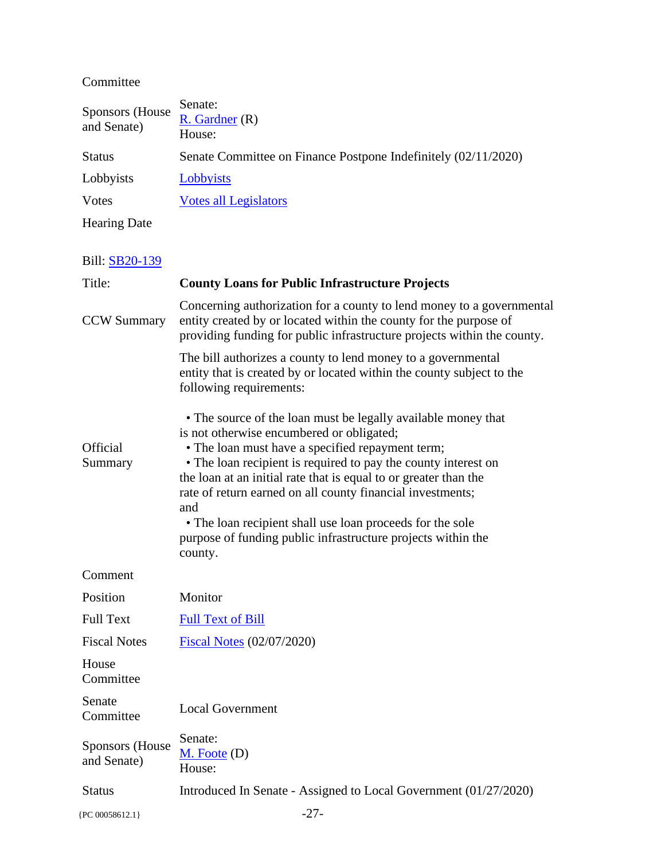#### Committee

| <b>Sponsors</b> (House<br>and Senate) | Senate:<br>$R.$ Gardner $(R)$<br>House:                                                                                                                                                                                                                                                                                                                                                                                                                                                                           |
|---------------------------------------|-------------------------------------------------------------------------------------------------------------------------------------------------------------------------------------------------------------------------------------------------------------------------------------------------------------------------------------------------------------------------------------------------------------------------------------------------------------------------------------------------------------------|
| <b>Status</b>                         | Senate Committee on Finance Postpone Indefinitely (02/11/2020)                                                                                                                                                                                                                                                                                                                                                                                                                                                    |
| Lobbyists                             | <b>Lobbyists</b>                                                                                                                                                                                                                                                                                                                                                                                                                                                                                                  |
| Votes                                 | <b>Votes all Legislators</b>                                                                                                                                                                                                                                                                                                                                                                                                                                                                                      |
| <b>Hearing Date</b>                   |                                                                                                                                                                                                                                                                                                                                                                                                                                                                                                                   |
| Bill: SB20-139                        |                                                                                                                                                                                                                                                                                                                                                                                                                                                                                                                   |
| Title:                                | <b>County Loans for Public Infrastructure Projects</b>                                                                                                                                                                                                                                                                                                                                                                                                                                                            |
| <b>CCW Summary</b>                    | Concerning authorization for a county to lend money to a governmental<br>entity created by or located within the county for the purpose of<br>providing funding for public infrastructure projects within the county.                                                                                                                                                                                                                                                                                             |
|                                       | The bill authorizes a county to lend money to a governmental<br>entity that is created by or located within the county subject to the<br>following requirements:                                                                                                                                                                                                                                                                                                                                                  |
| Official<br>Summary                   | • The source of the loan must be legally available money that<br>is not otherwise encumbered or obligated;<br>• The loan must have a specified repayment term;<br>• The loan recipient is required to pay the county interest on<br>the loan at an initial rate that is equal to or greater than the<br>rate of return earned on all county financial investments;<br>and<br>• The loan recipient shall use loan proceeds for the sole<br>purpose of funding public infrastructure projects within the<br>county. |
| Comment                               |                                                                                                                                                                                                                                                                                                                                                                                                                                                                                                                   |
| Position                              | Monitor                                                                                                                                                                                                                                                                                                                                                                                                                                                                                                           |
| <b>Full Text</b>                      | <b>Full Text of Bill</b>                                                                                                                                                                                                                                                                                                                                                                                                                                                                                          |
| <b>Fiscal Notes</b>                   | Fiscal Notes (02/07/2020)                                                                                                                                                                                                                                                                                                                                                                                                                                                                                         |
| House<br>Committee                    |                                                                                                                                                                                                                                                                                                                                                                                                                                                                                                                   |
| Senate<br>Committee                   | <b>Local Government</b>                                                                                                                                                                                                                                                                                                                                                                                                                                                                                           |
| <b>Sponsors</b> (House<br>and Senate) | Senate:<br>$M.$ Foote $(D)$<br>House:                                                                                                                                                                                                                                                                                                                                                                                                                                                                             |
| <b>Status</b>                         | Introduced In Senate - Assigned to Local Government (01/27/2020)                                                                                                                                                                                                                                                                                                                                                                                                                                                  |
| {PC 00058612.1}                       | $-27-$                                                                                                                                                                                                                                                                                                                                                                                                                                                                                                            |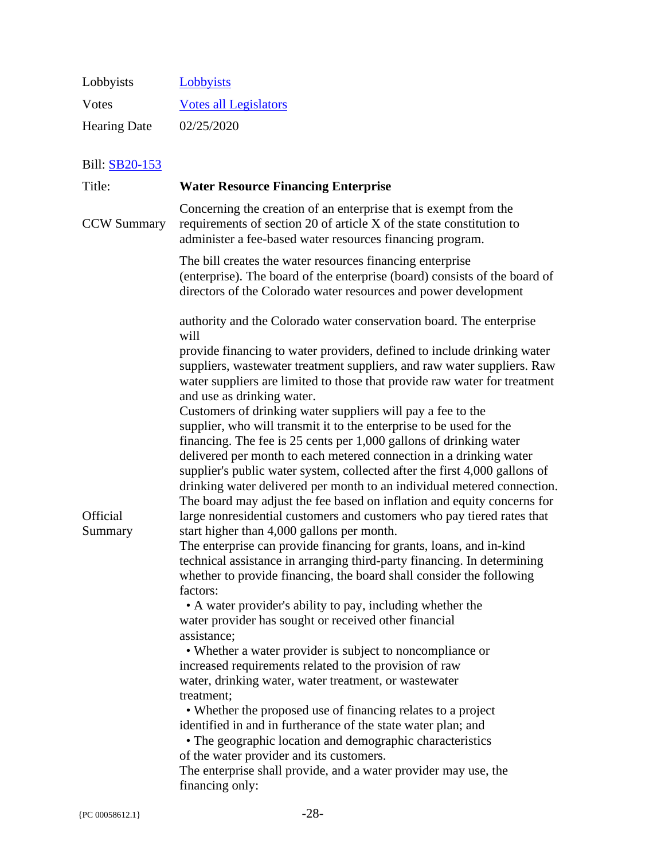| Lobbyists           | Lobbyists                    |
|---------------------|------------------------------|
| Votes               | <b>Votes all Legislators</b> |
| <b>Hearing Date</b> | 02/25/2020                   |

| Title:                     | <b>Water Resource Financing Enterprise</b>                                                                                                                                                                                                                                                                                                                                                                                                                                                                                                                                                                                                                                                                                                                                                                                                                                                                                                                                                                                                                                                                                                                                                                                                                                                                                                                                                                                                                                                                                                                                                                                                                                                                                                                                                                                                                                                               |
|----------------------------|----------------------------------------------------------------------------------------------------------------------------------------------------------------------------------------------------------------------------------------------------------------------------------------------------------------------------------------------------------------------------------------------------------------------------------------------------------------------------------------------------------------------------------------------------------------------------------------------------------------------------------------------------------------------------------------------------------------------------------------------------------------------------------------------------------------------------------------------------------------------------------------------------------------------------------------------------------------------------------------------------------------------------------------------------------------------------------------------------------------------------------------------------------------------------------------------------------------------------------------------------------------------------------------------------------------------------------------------------------------------------------------------------------------------------------------------------------------------------------------------------------------------------------------------------------------------------------------------------------------------------------------------------------------------------------------------------------------------------------------------------------------------------------------------------------------------------------------------------------------------------------------------------------|
| <b>CCW Summary</b>         | Concerning the creation of an enterprise that is exempt from the<br>requirements of section 20 of article X of the state constitution to<br>administer a fee-based water resources financing program.                                                                                                                                                                                                                                                                                                                                                                                                                                                                                                                                                                                                                                                                                                                                                                                                                                                                                                                                                                                                                                                                                                                                                                                                                                                                                                                                                                                                                                                                                                                                                                                                                                                                                                    |
|                            | The bill creates the water resources financing enterprise<br>(enterprise). The board of the enterprise (board) consists of the board of<br>directors of the Colorado water resources and power development                                                                                                                                                                                                                                                                                                                                                                                                                                                                                                                                                                                                                                                                                                                                                                                                                                                                                                                                                                                                                                                                                                                                                                                                                                                                                                                                                                                                                                                                                                                                                                                                                                                                                               |
| <b>Official</b><br>Summary | authority and the Colorado water conservation board. The enterprise<br>will<br>provide financing to water providers, defined to include drinking water<br>suppliers, wastewater treatment suppliers, and raw water suppliers. Raw<br>water suppliers are limited to those that provide raw water for treatment<br>and use as drinking water.<br>Customers of drinking water suppliers will pay a fee to the<br>supplier, who will transmit it to the enterprise to be used for the<br>financing. The fee is $25$ cents per $1,000$ gallons of drinking water<br>delivered per month to each metered connection in a drinking water<br>supplier's public water system, collected after the first 4,000 gallons of<br>drinking water delivered per month to an individual metered connection.<br>The board may adjust the fee based on inflation and equity concerns for<br>large nonresidential customers and customers who pay tiered rates that<br>start higher than 4,000 gallons per month.<br>The enterprise can provide financing for grants, loans, and in-kind<br>technical assistance in arranging third-party financing. In determining<br>whether to provide financing, the board shall consider the following<br>factors:<br>• A water provider's ability to pay, including whether the<br>water provider has sought or received other financial<br>assistance;<br>• Whether a water provider is subject to noncompliance or<br>increased requirements related to the provision of raw<br>water, drinking water, water treatment, or wastewater<br>treatment;<br>• Whether the proposed use of financing relates to a project<br>identified in and in furtherance of the state water plan; and<br>• The geographic location and demographic characteristics<br>of the water provider and its customers.<br>The enterprise shall provide, and a water provider may use, the<br>financing only: |
|                            |                                                                                                                                                                                                                                                                                                                                                                                                                                                                                                                                                                                                                                                                                                                                                                                                                                                                                                                                                                                                                                                                                                                                                                                                                                                                                                                                                                                                                                                                                                                                                                                                                                                                                                                                                                                                                                                                                                          |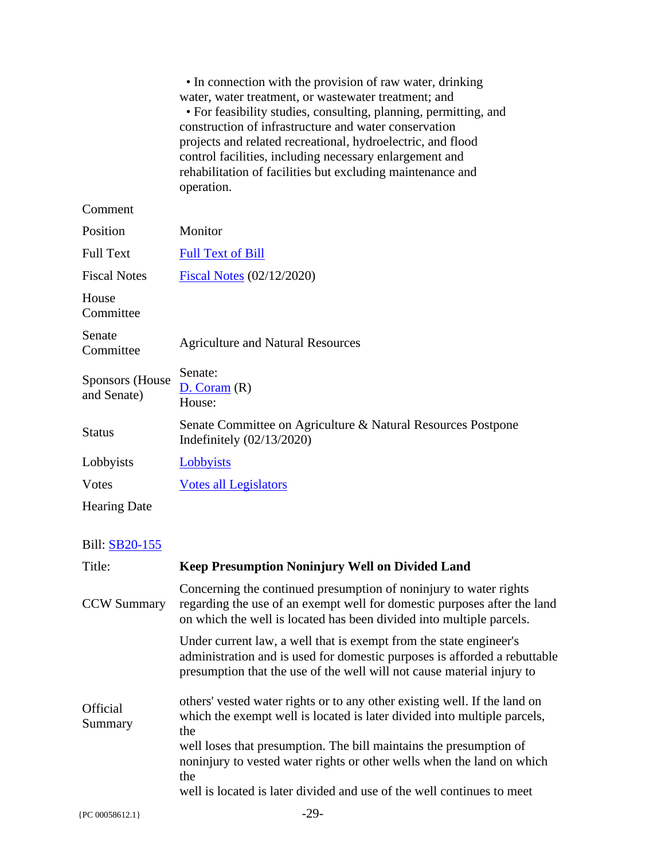|                                       | • In connection with the provision of raw water, drinking<br>water, water treatment, or wastewater treatment; and<br>• For feasibility studies, consulting, planning, permitting, and<br>construction of infrastructure and water conservation<br>projects and related recreational, hydroelectric, and flood<br>control facilities, including necessary enlargement and<br>rehabilitation of facilities but excluding maintenance and<br>operation. |
|---------------------------------------|------------------------------------------------------------------------------------------------------------------------------------------------------------------------------------------------------------------------------------------------------------------------------------------------------------------------------------------------------------------------------------------------------------------------------------------------------|
| Comment                               |                                                                                                                                                                                                                                                                                                                                                                                                                                                      |
| Position                              | Monitor                                                                                                                                                                                                                                                                                                                                                                                                                                              |
| <b>Full Text</b>                      | <b>Full Text of Bill</b>                                                                                                                                                                                                                                                                                                                                                                                                                             |
| <b>Fiscal Notes</b>                   | $Fiscal Notes (02/12/2020)$                                                                                                                                                                                                                                                                                                                                                                                                                          |
| House<br>Committee                    |                                                                                                                                                                                                                                                                                                                                                                                                                                                      |
| Senate<br>Committee                   | <b>Agriculture and Natural Resources</b>                                                                                                                                                                                                                                                                                                                                                                                                             |
| <b>Sponsors</b> (House<br>and Senate) | Senate:<br>D. Coram(R)<br>House:                                                                                                                                                                                                                                                                                                                                                                                                                     |
| <b>Status</b>                         | Senate Committee on Agriculture & Natural Resources Postpone<br>Indefinitely $(02/13/2020)$                                                                                                                                                                                                                                                                                                                                                          |
| Lobbyists                             | Lobbyists                                                                                                                                                                                                                                                                                                                                                                                                                                            |
| <b>V</b> otes                         | <b>Votes all Legislators</b>                                                                                                                                                                                                                                                                                                                                                                                                                         |
| <b>Hearing Date</b>                   |                                                                                                                                                                                                                                                                                                                                                                                                                                                      |
|                                       |                                                                                                                                                                                                                                                                                                                                                                                                                                                      |
| Bill: SB20-155                        |                                                                                                                                                                                                                                                                                                                                                                                                                                                      |
| Title:                                | <b>Keep Presumption Noninjury Well on Divided Land</b>                                                                                                                                                                                                                                                                                                                                                                                               |
| <b>CCW Summary</b>                    | Concerning the continued presumption of noninjury to water rights<br>regarding the use of an exempt well for domestic purposes after the land<br>on which the well is located has been divided into multiple parcels.                                                                                                                                                                                                                                |
|                                       | Under current law, a well that is exempt from the state engineer's<br>administration and is used for domestic purposes is afforded a rebuttable<br>presumption that the use of the well will not cause material injury to                                                                                                                                                                                                                            |
| Official<br>Summary                   | others' vested water rights or to any other existing well. If the land on<br>which the exempt well is located is later divided into multiple parcels,<br>the                                                                                                                                                                                                                                                                                         |
|                                       | well loses that presumption. The bill maintains the presumption of<br>noninjury to vested water rights or other wells when the land on which<br>the                                                                                                                                                                                                                                                                                                  |
|                                       | well is located is later divided and use of the well continues to meet                                                                                                                                                                                                                                                                                                                                                                               |
| {PC 00058612.1}                       | $-29-$                                                                                                                                                                                                                                                                                                                                                                                                                                               |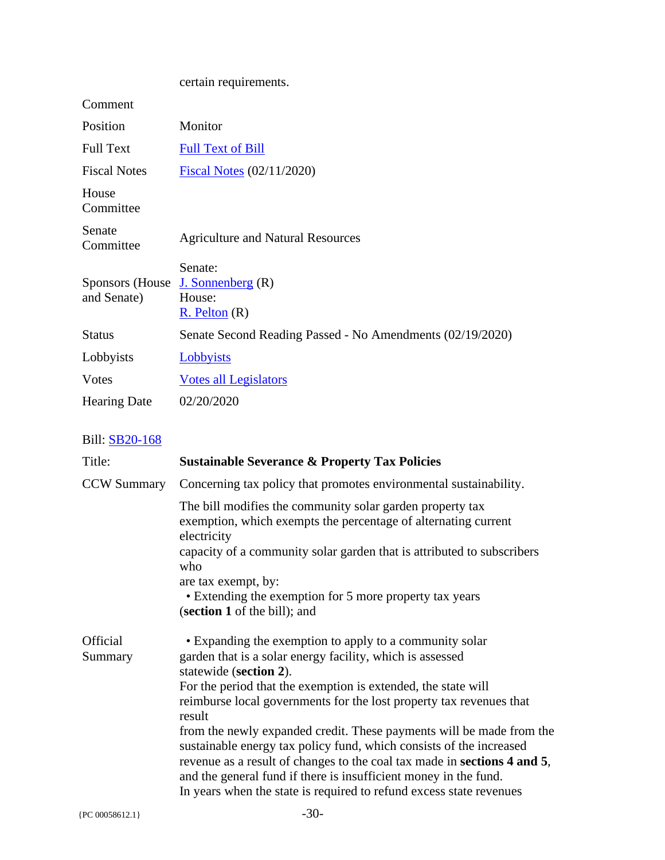| Monitor                                                                         |
|---------------------------------------------------------------------------------|
| <b>Full Text of Bill</b>                                                        |
| Fiscal Notes (02/11/2020)                                                       |
|                                                                                 |
| <b>Agriculture and Natural Resources</b>                                        |
| Senate:<br>Sponsors (House $J.$ Sonnenberg $(R)$<br>House:<br>$R.$ Pelton $(R)$ |
| Senate Second Reading Passed - No Amendments (02/19/2020)                       |
| <b>Lobbyists</b>                                                                |
| <b>Votes all Legislators</b>                                                    |
| 02/20/2020                                                                      |
|                                                                                 |

| Title:              | <b>Sustainable Severance &amp; Property Tax Policies</b>                                                                                                                                                                                                                                                                                                                                                                                                                                                                                                                                                                                                               |
|---------------------|------------------------------------------------------------------------------------------------------------------------------------------------------------------------------------------------------------------------------------------------------------------------------------------------------------------------------------------------------------------------------------------------------------------------------------------------------------------------------------------------------------------------------------------------------------------------------------------------------------------------------------------------------------------------|
| <b>CCW Summary</b>  | Concerning tax policy that promotes environmental sustainability.                                                                                                                                                                                                                                                                                                                                                                                                                                                                                                                                                                                                      |
|                     | The bill modifies the community solar garden property tax<br>exemption, which exempts the percentage of alternating current<br>electricity<br>capacity of a community solar garden that is attributed to subscribers<br>who                                                                                                                                                                                                                                                                                                                                                                                                                                            |
|                     | are tax exempt, by:                                                                                                                                                                                                                                                                                                                                                                                                                                                                                                                                                                                                                                                    |
|                     | • Extending the exemption for 5 more property tax years<br>(section 1 of the bill); and                                                                                                                                                                                                                                                                                                                                                                                                                                                                                                                                                                                |
| Official<br>Summary | • Expanding the exemption to apply to a community solar<br>garden that is a solar energy facility, which is assessed<br>statewide (section 2).<br>For the period that the exemption is extended, the state will<br>reimburse local governments for the lost property tax revenues that<br>result<br>from the newly expanded credit. These payments will be made from the<br>sustainable energy tax policy fund, which consists of the increased<br>revenue as a result of changes to the coal tax made in sections 4 and 5,<br>and the general fund if there is insufficient money in the fund.<br>In years when the state is required to refund excess state revenues |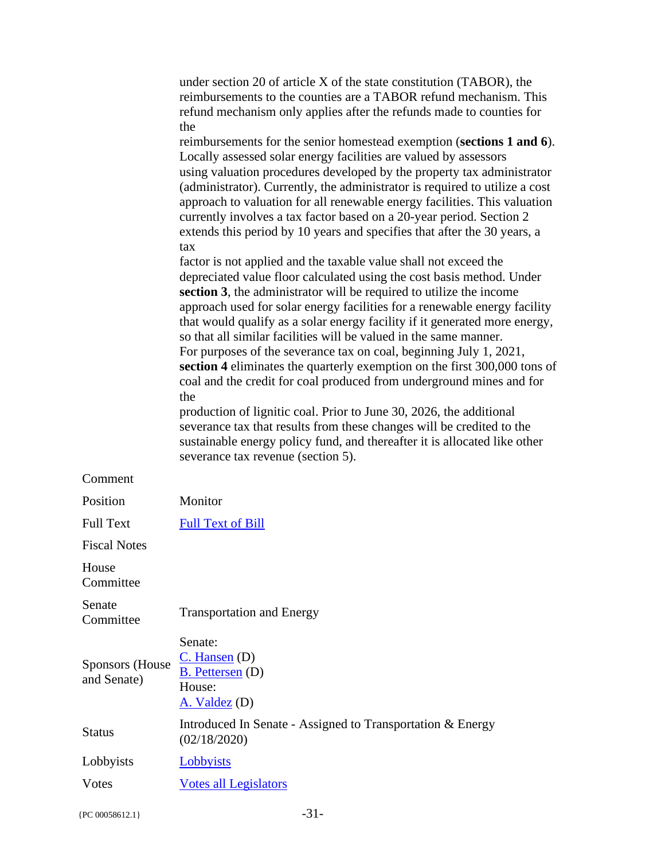|                                       | under section 20 of article X of the state constitution (TABOR), the<br>reimbursements to the counties are a TABOR refund mechanism. This<br>refund mechanism only applies after the refunds made to counties for<br>the<br>reimbursements for the senior homestead exemption (sections 1 and 6).<br>Locally assessed solar energy facilities are valued by assessors<br>using valuation procedures developed by the property tax administrator<br>(administrator). Currently, the administrator is required to utilize a cost<br>approach to valuation for all renewable energy facilities. This valuation<br>currently involves a tax factor based on a 20-year period. Section 2<br>extends this period by 10 years and specifies that after the 30 years, a<br>tax<br>factor is not applied and the taxable value shall not exceed the<br>depreciated value floor calculated using the cost basis method. Under<br>section 3, the administrator will be required to utilize the income<br>approach used for solar energy facilities for a renewable energy facility<br>that would qualify as a solar energy facility if it generated more energy,<br>so that all similar facilities will be valued in the same manner.<br>For purposes of the severance tax on coal, beginning July 1, 2021,<br>section 4 eliminates the quarterly exemption on the first 300,000 tons of<br>coal and the credit for coal produced from underground mines and for<br>the<br>production of lignitic coal. Prior to June 30, 2026, the additional<br>severance tax that results from these changes will be credited to the<br>sustainable energy policy fund, and thereafter it is allocated like other<br>severance tax revenue (section 5). |
|---------------------------------------|---------------------------------------------------------------------------------------------------------------------------------------------------------------------------------------------------------------------------------------------------------------------------------------------------------------------------------------------------------------------------------------------------------------------------------------------------------------------------------------------------------------------------------------------------------------------------------------------------------------------------------------------------------------------------------------------------------------------------------------------------------------------------------------------------------------------------------------------------------------------------------------------------------------------------------------------------------------------------------------------------------------------------------------------------------------------------------------------------------------------------------------------------------------------------------------------------------------------------------------------------------------------------------------------------------------------------------------------------------------------------------------------------------------------------------------------------------------------------------------------------------------------------------------------------------------------------------------------------------------------------------------------------------------------------------------------------------------------------------|
| Comment                               |                                                                                                                                                                                                                                                                                                                                                                                                                                                                                                                                                                                                                                                                                                                                                                                                                                                                                                                                                                                                                                                                                                                                                                                                                                                                                                                                                                                                                                                                                                                                                                                                                                                                                                                                 |
| Position                              | Monitor                                                                                                                                                                                                                                                                                                                                                                                                                                                                                                                                                                                                                                                                                                                                                                                                                                                                                                                                                                                                                                                                                                                                                                                                                                                                                                                                                                                                                                                                                                                                                                                                                                                                                                                         |
| <b>Full Text</b>                      | <b>Full Text of Bill</b>                                                                                                                                                                                                                                                                                                                                                                                                                                                                                                                                                                                                                                                                                                                                                                                                                                                                                                                                                                                                                                                                                                                                                                                                                                                                                                                                                                                                                                                                                                                                                                                                                                                                                                        |
| <b>Fiscal Notes</b>                   |                                                                                                                                                                                                                                                                                                                                                                                                                                                                                                                                                                                                                                                                                                                                                                                                                                                                                                                                                                                                                                                                                                                                                                                                                                                                                                                                                                                                                                                                                                                                                                                                                                                                                                                                 |
| House<br>Committee                    |                                                                                                                                                                                                                                                                                                                                                                                                                                                                                                                                                                                                                                                                                                                                                                                                                                                                                                                                                                                                                                                                                                                                                                                                                                                                                                                                                                                                                                                                                                                                                                                                                                                                                                                                 |
| Senate<br>Committee                   | <b>Transportation and Energy</b>                                                                                                                                                                                                                                                                                                                                                                                                                                                                                                                                                                                                                                                                                                                                                                                                                                                                                                                                                                                                                                                                                                                                                                                                                                                                                                                                                                                                                                                                                                                                                                                                                                                                                                |
| <b>Sponsors (House</b><br>and Senate) | Senate:<br>$C.$ Hansen $(D)$<br><b>B.</b> Pettersen (D)<br>House:<br>$A.$ Valdez (D)                                                                                                                                                                                                                                                                                                                                                                                                                                                                                                                                                                                                                                                                                                                                                                                                                                                                                                                                                                                                                                                                                                                                                                                                                                                                                                                                                                                                                                                                                                                                                                                                                                            |
| <b>Status</b>                         | Introduced In Senate - Assigned to Transportation & Energy<br>(02/18/2020)                                                                                                                                                                                                                                                                                                                                                                                                                                                                                                                                                                                                                                                                                                                                                                                                                                                                                                                                                                                                                                                                                                                                                                                                                                                                                                                                                                                                                                                                                                                                                                                                                                                      |
| Lobbyists                             | Lobbyists                                                                                                                                                                                                                                                                                                                                                                                                                                                                                                                                                                                                                                                                                                                                                                                                                                                                                                                                                                                                                                                                                                                                                                                                                                                                                                                                                                                                                                                                                                                                                                                                                                                                                                                       |
| Votes                                 | <b>Votes all Legislators</b>                                                                                                                                                                                                                                                                                                                                                                                                                                                                                                                                                                                                                                                                                                                                                                                                                                                                                                                                                                                                                                                                                                                                                                                                                                                                                                                                                                                                                                                                                                                                                                                                                                                                                                    |
|                                       |                                                                                                                                                                                                                                                                                                                                                                                                                                                                                                                                                                                                                                                                                                                                                                                                                                                                                                                                                                                                                                                                                                                                                                                                                                                                                                                                                                                                                                                                                                                                                                                                                                                                                                                                 |